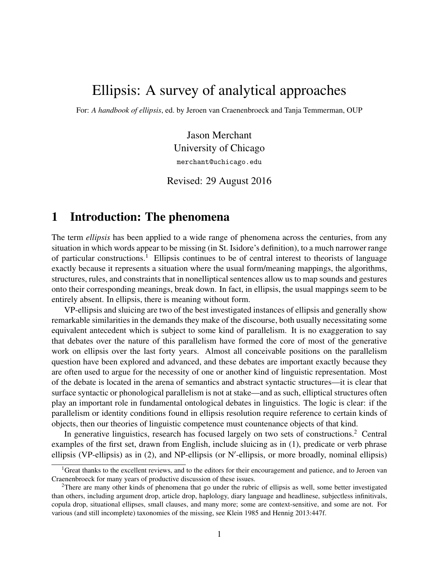# Ellipsis: A survey of analytical approaches

For: *A handbook of ellipsis*, ed. by Jeroen van Craenenbroeck and Tanja Temmerman, OUP

Jason Merchant University of Chicago merchant@uchicago.edu

Revised: 29 August 2016

## 1 Introduction: The phenomena

The term *ellipsis* has been applied to a wide range of phenomena across the centuries, from any situation in which words appear to be missing (in St. Isidore's definition), to a much narrower range of particular constructions.<sup>1</sup> Ellipsis continues to be of central interest to theorists of language exactly because it represents a situation where the usual form/meaning mappings, the algorithms, structures, rules, and constraints that in nonelliptical sentences allow us to map sounds and gestures onto their corresponding meanings, break down. In fact, in ellipsis, the usual mappings seem to be entirely absent. In ellipsis, there is meaning without form.

VP-ellipsis and sluicing are two of the best investigated instances of ellipsis and generally show remarkable similarities in the demands they make of the discourse, both usually necessitating some equivalent antecedent which is subject to some kind of parallelism. It is no exaggeration to say that debates over the nature of this parallelism have formed the core of most of the generative work on ellipsis over the last forty years. Almost all conceivable positions on the parallelism question have been explored and advanced, and these debates are important exactly because they are often used to argue for the necessity of one or another kind of linguistic representation. Most of the debate is located in the arena of semantics and abstract syntactic structures—it is clear that surface syntactic or phonological parallelism is not at stake—and as such, elliptical structures often play an important role in fundamental ontological debates in linguistics. The logic is clear: if the parallelism or identity conditions found in ellipsis resolution require reference to certain kinds of objects, then our theories of linguistic competence must countenance objects of that kind.

In generative linguistics, research has focused largely on two sets of constructions.<sup>2</sup> Central examples of the first set, drawn from English, include sluicing as in (1), predicate or verb phrase ellipsis (VP-ellipsis) as in (2), and NP-ellipsis (or N'-ellipsis, or more broadly, nominal ellipsis)

<sup>&</sup>lt;sup>1</sup>Great thanks to the excellent reviews, and to the editors for their encouragement and patience, and to Jeroen van Craenenbroeck for many years of productive discussion of these issues.

<sup>&</sup>lt;sup>2</sup>There are many other kinds of phenomena that go under the rubric of ellipsis as well, some better investigated than others, including argument drop, article drop, haplology, diary language and headlinese, subjectless infinitivals, copula drop, situational ellipses, small clauses, and many more; some are context-sensitive, and some are not. For various (and still incomplete) taxonomies of the missing, see Klein 1985 and Hennig 2013:447f.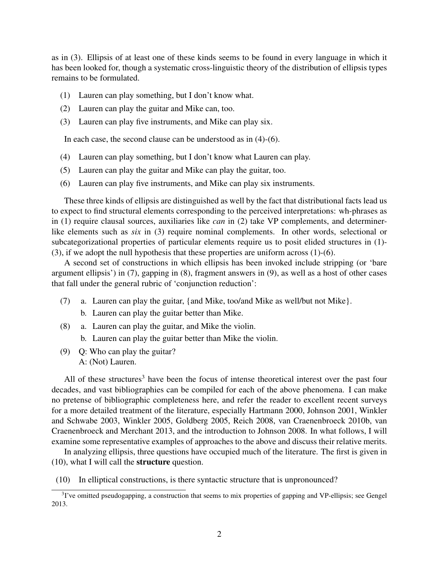as in (3). Ellipsis of at least one of these kinds seems to be found in every language in which it has been looked for, though a systematic cross-linguistic theory of the distribution of ellipsis types remains to be formulated.

- (1) Lauren can play something, but I don't know what.
- (2) Lauren can play the guitar and Mike can, too.
- (3) Lauren can play five instruments, and Mike can play six.

In each case, the second clause can be understood as in (4)-(6).

- (4) Lauren can play something, but I don't know what Lauren can play.
- (5) Lauren can play the guitar and Mike can play the guitar, too.
- (6) Lauren can play five instruments, and Mike can play six instruments.

These three kinds of ellipsis are distinguished as well by the fact that distributional facts lead us to expect to find structural elements corresponding to the perceived interpretations: wh-phrases as in (1) require clausal sources, auxiliaries like *can* in (2) take VP complements, and determinerlike elements such as *six* in (3) require nominal complements. In other words, selectional or subcategorizational properties of particular elements require us to posit elided structures in (1)- (3), if we adopt the null hypothesis that these properties are uniform across (1)-(6).

A second set of constructions in which ellipsis has been invoked include stripping (or 'bare argument ellipsis') in (7), gapping in (8), fragment answers in (9), as well as a host of other cases that fall under the general rubric of 'conjunction reduction':

- (7) a. Lauren can play the guitar, {and Mike, too/and Mike as well/but not Mike}.
	- b. Lauren can play the guitar better than Mike.
- (8) a. Lauren can play the guitar, and Mike the violin.
	- b. Lauren can play the guitar better than Mike the violin.
- (9) Q: Who can play the guitar? A: (Not) Lauren.

All of these structures<sup>3</sup> have been the focus of intense theoretical interest over the past four decades, and vast bibliographies can be compiled for each of the above phenomena. I can make no pretense of bibliographic completeness here, and refer the reader to excellent recent surveys for a more detailed treatment of the literature, especially Hartmann 2000, Johnson 2001, Winkler and Schwabe 2003, Winkler 2005, Goldberg 2005, Reich 2008, van Craenenbroeck 2010b, van Craenenbroeck and Merchant 2013, and the introduction to Johnson 2008. In what follows, I will examine some representative examples of approaches to the above and discuss their relative merits.

In analyzing ellipsis, three questions have occupied much of the literature. The first is given in (10), what I will call the structure question.

(10) In elliptical constructions, is there syntactic structure that is unpronounced?

 $3$ I've omitted pseudogapping, a construction that seems to mix properties of gapping and VP-ellipsis; see Gengel 2013.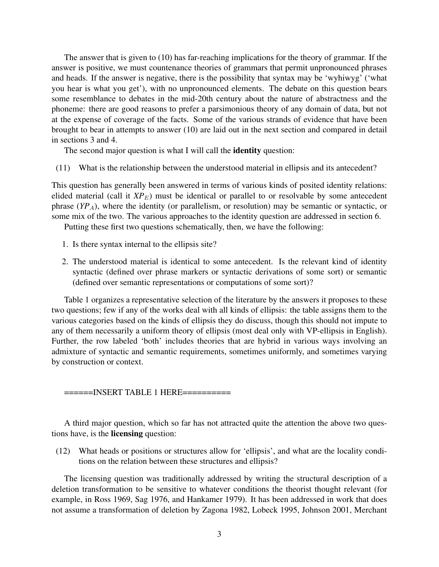The answer that is given to (10) has far-reaching implications for the theory of grammar. If the answer is positive, we must countenance theories of grammars that permit unpronounced phrases and heads. If the answer is negative, there is the possibility that syntax may be 'wyhiwyg' ('what you hear is what you get'), with no unpronounced elements. The debate on this question bears some resemblance to debates in the mid-20th century about the nature of abstractness and the phoneme: there are good reasons to prefer a parsimonious theory of any domain of data, but not at the expense of coverage of the facts. Some of the various strands of evidence that have been brought to bear in attempts to answer (10) are laid out in the next section and compared in detail in sections 3 and 4.

The second major question is what I will call the **identity** question:

(11) What is the relationship between the understood material in ellipsis and its antecedent?

This question has generally been answered in terms of various kinds of posited identity relations: elided material (call it  $XP_E$ ) must be identical or parallel to or resolvable by some antecedent phrase  $(\gamma P_A)$ , where the identity (or parallelism, or resolution) may be semantic or syntactic, or some mix of the two. The various approaches to the identity question are addressed in section 6.

Putting these first two questions schematically, then, we have the following:

- 1. Is there syntax internal to the ellipsis site?
- 2. The understood material is identical to some antecedent. Is the relevant kind of identity syntactic (defined over phrase markers or syntactic derivations of some sort) or semantic (defined over semantic representations or computations of some sort)?

Table 1 organizes a representative selection of the literature by the answers it proposes to these two questions; few if any of the works deal with all kinds of ellipsis: the table assigns them to the various categories based on the kinds of ellipsis they do discuss, though this should not impute to any of them necessarily a uniform theory of ellipsis (most deal only with VP-ellipsis in English). Further, the row labeled 'both' includes theories that are hybrid in various ways involving an admixture of syntactic and semantic requirements, sometimes uniformly, and sometimes varying by construction or context.

======INSERT TABLE 1 HERE==========

A third major question, which so far has not attracted quite the attention the above two questions have, is the licensing question:

(12) What heads or positions or structures allow for 'ellipsis', and what are the locality conditions on the relation between these structures and ellipsis?

The licensing question was traditionally addressed by writing the structural description of a deletion transformation to be sensitive to whatever conditions the theorist thought relevant (for example, in Ross 1969, Sag 1976, and Hankamer 1979). It has been addressed in work that does not assume a transformation of deletion by Zagona 1982, Lobeck 1995, Johnson 2001, Merchant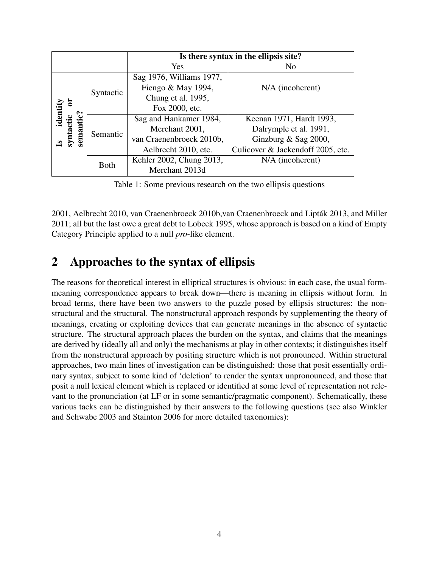|          |                       |              | Is there syntax in the ellipsis site? |                                   |
|----------|-----------------------|--------------|---------------------------------------|-----------------------------------|
|          |                       |              | Yes                                   | N <sub>0</sub>                    |
| identity | ä<br>mtactic<br>semar | Syntactic    | Sag 1976, Williams 1977,              |                                   |
|          |                       |              | Fiengo & May 1994,                    | $N/A$ (incoherent)                |
|          |                       |              | Chung et al. 1995,                    |                                   |
|          |                       |              | Fox 2000, etc.                        |                                   |
|          |                       | Semantic     | Sag and Hankamer 1984,                | Keenan 1971, Hardt 1993,          |
|          |                       |              | Merchant 2001,                        | Dalrymple et al. 1991,            |
|          |                       |              | van Craenenbroeck 2010b,              | Ginzburg $&$ Sag 2000,            |
|          |                       |              | Aelbrecht 2010, etc.                  | Culicover & Jackendoff 2005, etc. |
|          |                       | <b>B</b> oth | Kehler 2002, Chung 2013,              | N/A (incoherent)                  |
|          |                       |              | Merchant 2013d                        |                                   |

Table 1: Some previous research on the two ellipsis questions

2001, Aelbrecht 2010, van Craenenbroeck 2010b,van Craenenbroeck and Lipták 2013, and Miller 2011; all but the last owe a great debt to Lobeck 1995, whose approach is based on a kind of Empty Category Principle applied to a null *pro*-like element.

# 2 Approaches to the syntax of ellipsis

The reasons for theoretical interest in elliptical structures is obvious: in each case, the usual formmeaning correspondence appears to break down—there is meaning in ellipsis without form. In broad terms, there have been two answers to the puzzle posed by ellipsis structures: the nonstructural and the structural. The nonstructural approach responds by supplementing the theory of meanings, creating or exploiting devices that can generate meanings in the absence of syntactic structure. The structural approach places the burden on the syntax, and claims that the meanings are derived by (ideally all and only) the mechanisms at play in other contexts; it distinguishes itself from the nonstructural approach by positing structure which is not pronounced. Within structural approaches, two main lines of investigation can be distinguished: those that posit essentially ordinary syntax, subject to some kind of 'deletion' to render the syntax unpronounced, and those that posit a null lexical element which is replaced or identified at some level of representation not relevant to the pronunciation (at LF or in some semantic/pragmatic component). Schematically, these various tacks can be distinguished by their answers to the following questions (see also Winkler and Schwabe 2003 and Stainton 2006 for more detailed taxonomies):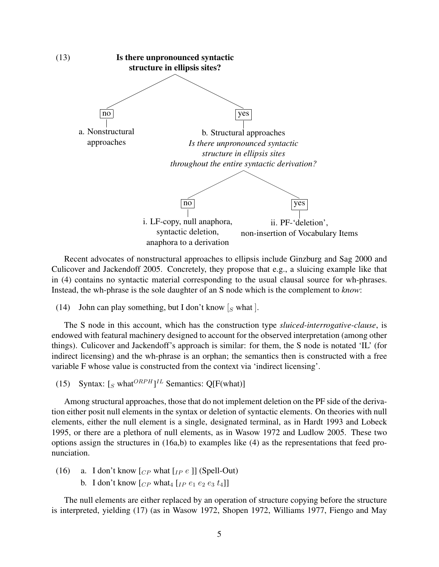

Recent advocates of nonstructural approaches to ellipsis include Ginzburg and Sag 2000 and Culicover and Jackendoff 2005. Concretely, they propose that e.g., a sluicing example like that in (4) contains no syntactic material corresponding to the usual clausal source for wh-phrases. Instead, the wh-phrase is the sole daughter of an S node which is the complement to *know*:

(14) John can play something, but I don't know  $\lfloor s \text{ what } \rfloor$ .

The S node in this account, which has the construction type *sluiced-interrogative-clause*, is endowed with featural machinery designed to account for the observed interpretation (among other things). Culicover and Jackendoff's approach is similar: for them, the S node is notated 'IL' (for indirect licensing) and the wh-phrase is an orphan; the semantics then is constructed with a free variable F whose value is constructed from the context via 'indirect licensing'.

(15) Syntax:  $[s \text{ what}^{ORPH}]^{IL}$  Semantics: Q[F(what)]

Among structural approaches, those that do not implement deletion on the PF side of the derivation either posit null elements in the syntax or deletion of syntactic elements. On theories with null elements, either the null element is a single, designated terminal, as in Hardt 1993 and Lobeck 1995, or there are a plethora of null elements, as in Wasow 1972 and Ludlow 2005. These two options assign the structures in  $(16a,b)$  to examples like  $(4)$  as the representations that feed pronunciation.

(16) a. I don't know  $[_{CP}$  what  $[_{IP}$  e ]] (Spell-Out) b. I don't know  $\begin{bmatrix} C_P \text{ what}_4 \end{bmatrix}$   $\begin{bmatrix} P & e_1 & e_2 & e_3 & t_4 \end{bmatrix}$ 

The null elements are either replaced by an operation of structure copying before the structure is interpreted, yielding (17) (as in Wasow 1972, Shopen 1972, Williams 1977, Fiengo and May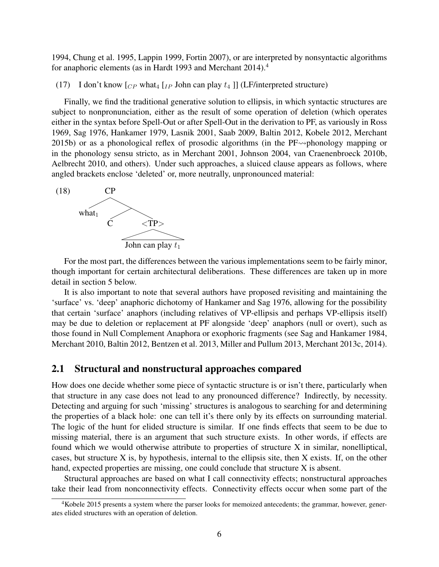1994, Chung et al. 1995, Lappin 1999, Fortin 2007), or are interpreted by nonsyntactic algorithms for anaphoric elements (as in Hardt 1993 and Merchant 2014).<sup>4</sup>

(17) I don't know  $\begin{bmatrix} C_P \end{bmatrix}$  what<sub>4</sub>  $\begin{bmatrix} I_P \end{bmatrix}$  John can play  $t_4$   $\begin{bmatrix} I_P \end{bmatrix}$  (LF/interpreted structure)

Finally, we find the traditional generative solution to ellipsis, in which syntactic structures are subject to nonpronunciation, either as the result of some operation of deletion (which operates either in the syntax before Spell-Out or after Spell-Out in the derivation to PF, as variously in Ross 1969, Sag 1976, Hankamer 1979, Lasnik 2001, Saab 2009, Baltin 2012, Kobele 2012, Merchant 2015b) or as a phonological reflex of prosodic algorithms (in the  $PF \rightarrowphi$ phonology mapping or in the phonology sensu stricto, as in Merchant 2001, Johnson 2004, van Craenenbroeck 2010b, Aelbrecht 2010, and others). Under such approaches, a sluiced clause appears as follows, where angled brackets enclose 'deleted' or, more neutrally, unpronounced material:



For the most part, the differences between the various implementations seem to be fairly minor, though important for certain architectural deliberations. These differences are taken up in more detail in section 5 below.

It is also important to note that several authors have proposed revisiting and maintaining the 'surface' vs. 'deep' anaphoric dichotomy of Hankamer and Sag 1976, allowing for the possibility that certain 'surface' anaphors (including relatives of VP-ellipsis and perhaps VP-ellipsis itself) may be due to deletion or replacement at PF alongside 'deep' anaphors (null or overt), such as those found in Null Complement Anaphora or exophoric fragments (see Sag and Hankamer 1984, Merchant 2010, Baltin 2012, Bentzen et al. 2013, Miller and Pullum 2013, Merchant 2013c, 2014).

#### 2.1 Structural and nonstructural approaches compared

How does one decide whether some piece of syntactic structure is or isn't there, particularly when that structure in any case does not lead to any pronounced difference? Indirectly, by necessity. Detecting and arguing for such 'missing' structures is analogous to searching for and determining the properties of a black hole: one can tell it's there only by its effects on surrounding material. The logic of the hunt for elided structure is similar. If one finds effects that seem to be due to missing material, there is an argument that such structure exists. In other words, if effects are found which we would otherwise attribute to properties of structure X in similar, nonelliptical, cases, but structure X is, by hypothesis, internal to the ellipsis site, then X exists. If, on the other hand, expected properties are missing, one could conclude that structure X is absent.

Structural approaches are based on what I call connectivity effects; nonstructural approaches take their lead from nonconnectivity effects. Connectivity effects occur when some part of the

<sup>&</sup>lt;sup>4</sup>Kobele 2015 presents a system where the parser looks for memoized antecedents; the grammar, however, generates elided structures with an operation of deletion.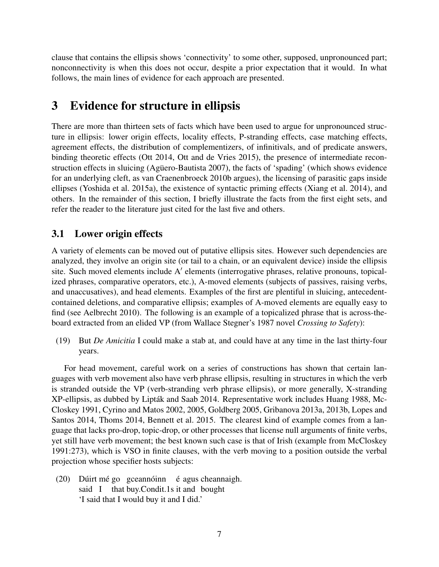clause that contains the ellipsis shows 'connectivity' to some other, supposed, unpronounced part; nonconnectivity is when this does not occur, despite a prior expectation that it would. In what follows, the main lines of evidence for each approach are presented.

# 3 Evidence for structure in ellipsis

There are more than thirteen sets of facts which have been used to argue for unpronounced structure in ellipsis: lower origin effects, locality effects, P-stranding effects, case matching effects, agreement effects, the distribution of complementizers, of infinitivals, and of predicate answers, binding theoretic effects (Ott 2014, Ott and de Vries 2015), the presence of intermediate reconstruction effects in sluicing (Agüero-Bautista 2007), the facts of 'spading' (which shows evidence for an underlying cleft, as van Craenenbroeck 2010b argues), the licensing of parasitic gaps inside ellipses (Yoshida et al. 2015a), the existence of syntactic priming effects (Xiang et al. 2014), and others. In the remainder of this section, I briefly illustrate the facts from the first eight sets, and refer the reader to the literature just cited for the last five and others.

## 3.1 Lower origin effects

A variety of elements can be moved out of putative ellipsis sites. However such dependencies are analyzed, they involve an origin site (or tail to a chain, or an equivalent device) inside the ellipsis site. Such moved elements include A' elements (interrogative phrases, relative pronouns, topicalized phrases, comparative operators, etc.), A-moved elements (subjects of passives, raising verbs, and unaccusatives), and head elements. Examples of the first are plentiful in sluicing, antecedentcontained deletions, and comparative ellipsis; examples of A-moved elements are equally easy to find (see Aelbrecht 2010). The following is an example of a topicalized phrase that is across-theboard extracted from an elided VP (from Wallace Stegner's 1987 novel *Crossing to Safety*):

(19) But *De Amicitia* I could make a stab at, and could have at any time in the last thirty-four years.

For head movement, careful work on a series of constructions has shown that certain languages with verb movement also have verb phrase ellipsis, resulting in structures in which the verb is stranded outside the VP (verb-stranding verb phrase ellipsis), or more generally, X-stranding XP-ellipsis, as dubbed by Lipták and Saab 2014. Representative work includes Huang 1988, Mc-Closkey 1991, Cyrino and Matos 2002, 2005, Goldberg 2005, Gribanova 2013a, 2013b, Lopes and Santos 2014, Thoms 2014, Bennett et al. 2015. The clearest kind of example comes from a language that lacks pro-drop, topic-drop, or other processes that license null arguments of finite verbs, yet still have verb movement; the best known such case is that of Irish (example from McCloskey 1991:273), which is VSO in finite clauses, with the verb moving to a position outside the verbal projection whose specifier hosts subjects:

(20) Dúirt mé go gceannóinn é agus cheannaigh. said I that buy.Condit.1s it and bought 'I said that I would buy it and I did.'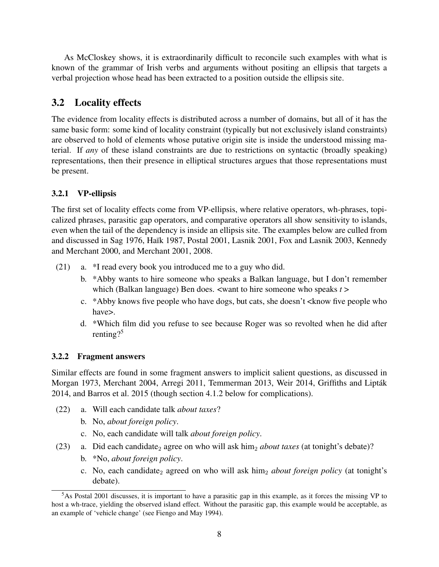As McCloskey shows, it is extraordinarily difficult to reconcile such examples with what is known of the grammar of Irish verbs and arguments without positing an ellipsis that targets a verbal projection whose head has been extracted to a position outside the ellipsis site.

## 3.2 Locality effects

The evidence from locality effects is distributed across a number of domains, but all of it has the same basic form: some kind of locality constraint (typically but not exclusively island constraints) are observed to hold of elements whose putative origin site is inside the understood missing material. If *any* of these island constraints are due to restrictions on syntactic (broadly speaking) representations, then their presence in elliptical structures argues that those representations must be present.

## 3.2.1 VP-ellipsis

The first set of locality effects come from VP-ellipsis, where relative operators, wh-phrases, topicalized phrases, parasitic gap operators, and comparative operators all show sensitivity to islands, even when the tail of the dependency is inside an ellipsis site. The examples below are culled from and discussed in Sag 1976, Haïk 1987, Postal 2001, Lasnik 2001, Fox and Lasnik 2003, Kennedy and Merchant 2000, and Merchant 2001, 2008.

- (21) a. \*I read every book you introduced me to a guy who did.
	- b. \*Abby wants to hire someone who speaks a Balkan language, but I don't remember which (Balkan language) Ben does. <want to hire someone who speaks *t* >
	- c. \*Abby knows five people who have dogs, but cats, she doesn't <know five people who have >.
	- d. \*Which film did you refuse to see because Roger was so revolted when he did after renting?<sup>5</sup>

## 3.2.2 Fragment answers

Similar effects are found in some fragment answers to implicit salient questions, as discussed in Morgan 1973, Merchant 2004, Arregi 2011, Temmerman 2013, Weir 2014, Griffiths and Lipták 2014, and Barros et al. 2015 (though section 4.1.2 below for complications).

- (22) a. Will each candidate talk *about taxes*?
	- b. No, *about foreign policy*.
	- c. No, each candidate will talk *about foreign policy*.
- (23) a. Did each candidate<sub>2</sub> agree on who will ask him<sub>2</sub> *about taxes* (at tonight's debate)?
	- b. \*No, *about foreign policy*.
	- c. No, each candidate<sub>2</sub> agreed on who will ask him<sub>2</sub> *about foreign policy* (at tonight's debate).

<sup>5</sup>As Postal 2001 discusses, it is important to have a parasitic gap in this example, as it forces the missing VP to host a wh-trace, yielding the observed island effect. Without the parasitic gap, this example would be acceptable, as an example of 'vehicle change' (see Fiengo and May 1994).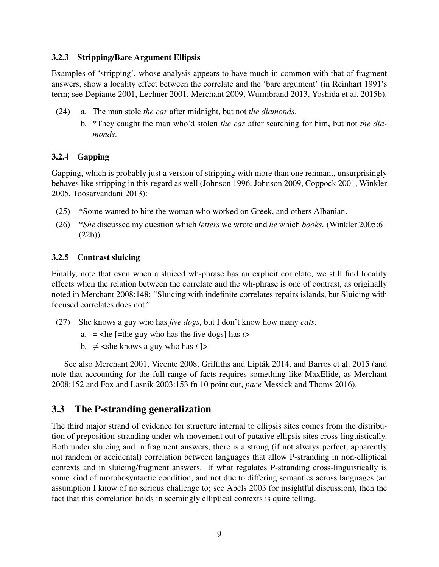### 3.2.3 Stripping/Bare Argument Ellipsis

Examples of 'stripping', whose analysis appears to have much in common with that of fragment answers, show a locality effect between the correlate and the 'bare argument' (in Reinhart 1991's term; see Depiante 2001, Lechner 2001, Merchant 2009, Wurmbrand 2013, Yoshida et al. 2015b).

- (24) a. The man stole *the car* after midnight, but not *the diamonds*.
	- b. \*They caught the man who'd stolen *the car* after searching for him, but not *the diamonds*.

### 3.2.4 Gapping

Gapping, which is probably just a version of stripping with more than one remnant, unsurprisingly behaves like stripping in this regard as well (Johnson 1996, Johnson 2009, Coppock 2001, Winkler 2005, Toosarvandani 2013):

- (25) \*Some wanted to hire the woman who worked on Greek, and others Albanian.
- (26) \**She* discussed my question which *letters* we wrote and *he* which *books*. (Winkler 2005:61 (22b))

### 3.2.5 Contrast sluicing

Finally, note that even when a sluiced wh-phrase has an explicit correlate, we still find locality effects when the relation between the correlate and the wh-phrase is one of contrast, as originally noted in Merchant 2008:148: "Sluicing with indefinite correlates repairs islands, but Sluicing with focused correlates does not."

- (27) She knows a guy who has *five dogs*, but I don't know how many *cats*.
	- a. = <he [=the guy who has the five dogs] has *t*>
	- b.  $\neq$  <she knows a guy who has *t*  $\geq$

See also Merchant 2001, Vicente 2008, Griffiths and Lipták 2014, and Barros et al. 2015 (and note that accounting for the full range of facts requires something like MaxElide, as Merchant 2008:152 and Fox and Lasnik 2003:153 fn 10 point out, *pace* Messick and Thoms 2016).

## 3.3 The P-stranding generalization

The third major strand of evidence for structure internal to ellipsis sites comes from the distribution of preposition-stranding under wh-movement out of putative ellipsis sites cross-linguistically. Both under sluicing and in fragment answers, there is a strong (if not always perfect, apparently not random or accidental) correlation between languages that allow P-stranding in non-elliptical contexts and in sluicing/fragment answers. If what regulates P-stranding cross-linguistically is some kind of morphosyntactic condition, and not due to differing semantics across languages (an assumption I know of no serious challenge to; see Abels 2003 for insightful discussion), then the fact that this correlation holds in seemingly elliptical contexts is quite telling.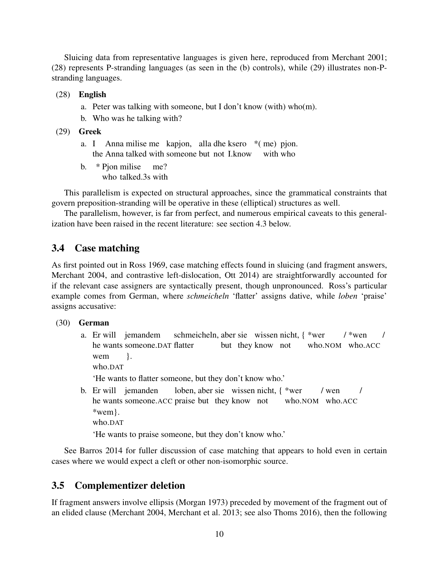Sluicing data from representative languages is given here, reproduced from Merchant 2001; (28) represents P-stranding languages (as seen in the (b) controls), while (29) illustrates non-Pstranding languages.

#### (28) English

- a. Peter was talking with someone, but I don't know (with) who(m).
- b. Who was he talking with?
- (29) Greek
	- a. I Anna milise me kapjon, alla dhe ksero \*( me) pjon. the Anna talked with someone but not I.know with who
	- b. \* Pjon milise who talked.3s with me?

This parallelism is expected on structural approaches, since the grammatical constraints that govern preposition-stranding will be operative in these (elliptical) structures as well.

The parallelism, however, is far from perfect, and numerous empirical caveats to this generalization have been raised in the recent literature: see section 4.3 below.

## 3.4 Case matching

As first pointed out in Ross 1969, case matching effects found in sluicing (and fragment answers, Merchant 2004, and contrastive left-dislocation, Ott 2014) are straightforwardly accounted for if the relevant case assigners are syntactically present, though unpronounced. Ross's particular example comes from German, where *schmeicheln* 'flatter' assigns dative, while *loben* 'praise' assigns accusative:

#### (30) German

a. Er will jemandem he wants someone.DAT flatter schmeicheln, aber sie wissen nicht, { \*wer but they know not who.NOM who.ACC / \*wen / wem }.

who.DAT

'He wants to flatter someone, but they don't know who.'

b. Er will jemanden he wants someone.ACC praise but they know not loben, aber sie wissen nicht, { \*wer who.NOM who.ACC / wen / \*wem}. who.DAT

'He wants to praise someone, but they don't know who.'

See Barros 2014 for fuller discussion of case matching that appears to hold even in certain cases where we would expect a cleft or other non-isomorphic source.

## 3.5 Complementizer deletion

If fragment answers involve ellipsis (Morgan 1973) preceded by movement of the fragment out of an elided clause (Merchant 2004, Merchant et al. 2013; see also Thoms 2016), then the following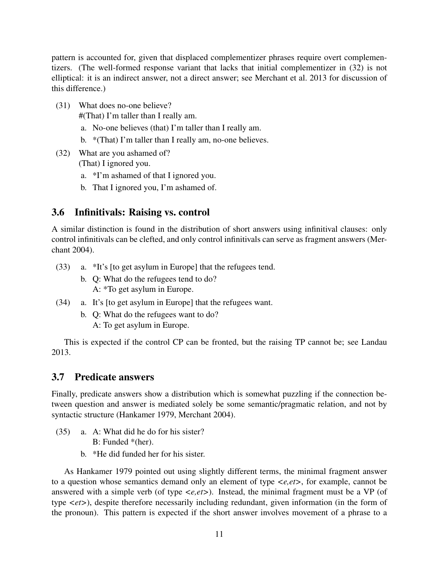pattern is accounted for, given that displaced complementizer phrases require overt complementizers. (The well-formed response variant that lacks that initial complementizer in (32) is not elliptical: it is an indirect answer, not a direct answer; see Merchant et al. 2013 for discussion of this difference.)

- (31) What does no-one believe?
	- #(That) I'm taller than I really am.
	- a. No-one believes (that) I'm taller than I really am.
	- b. \*(That) I'm taller than I really am, no-one believes.
- (32) What are you ashamed of? (That) I ignored you.
	- a. \*I'm ashamed of that I ignored you.
	- b. That I ignored you, I'm ashamed of.

## 3.6 Infinitivals: Raising vs. control

A similar distinction is found in the distribution of short answers using infinitival clauses: only control infinitivals can be clefted, and only control infinitivals can serve as fragment answers (Merchant 2004).

- (33) a. \*It's [to get asylum in Europe] that the refugees tend.
	- b. Q: What do the refugees tend to do? A: \*To get asylum in Europe.
- (34) a. It's [to get asylum in Europe] that the refugees want.
	- b. Q: What do the refugees want to do? A: To get asylum in Europe.

This is expected if the control CP can be fronted, but the raising TP cannot be; see Landau 2013.

## 3.7 Predicate answers

Finally, predicate answers show a distribution which is somewhat puzzling if the connection between question and answer is mediated solely be some semantic/pragmatic relation, and not by syntactic structure (Hankamer 1979, Merchant 2004).

- (35) a. A: What did he do for his sister? B: Funded \*(her).
	- b. \*He did funded her for his sister.

As Hankamer 1979 pointed out using slightly different terms, the minimal fragment answer to a question whose semantics demand only an element of type *<e,et>*, for example, cannot be answered with a simple verb (of type *<e,et>*). Instead, the minimal fragment must be a VP (of type *<et>*), despite therefore necessarily including redundant, given information (in the form of the pronoun). This pattern is expected if the short answer involves movement of a phrase to a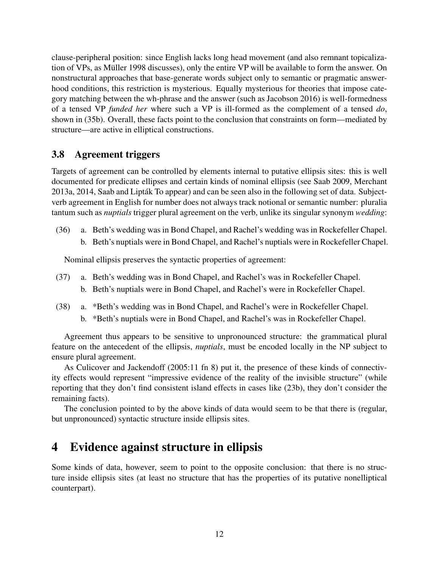clause-peripheral position: since English lacks long head movement (and also remnant topicalization of VPs, as Müller 1998 discusses), only the entire VP will be available to form the answer. On nonstructural approaches that base-generate words subject only to semantic or pragmatic answerhood conditions, this restriction is mysterious. Equally mysterious for theories that impose category matching between the wh-phrase and the answer (such as Jacobson 2016) is well-formedness of a tensed VP *funded her* where such a VP is ill-formed as the complement of a tensed *do*, shown in (35b). Overall, these facts point to the conclusion that constraints on form—mediated by structure—are active in elliptical constructions.

## 3.8 Agreement triggers

Targets of agreement can be controlled by elements internal to putative ellipsis sites: this is well documented for predicate ellipses and certain kinds of nominal ellipsis (see Saab 2009, Merchant 2013a, 2014, Saab and Lipták To appear) and can be seen also in the following set of data. Subjectverb agreement in English for number does not always track notional or semantic number: pluralia tantum such as *nuptials* trigger plural agreement on the verb, unlike its singular synonym *wedding*:

- (36) a. Beth's wedding was in Bond Chapel, and Rachel's wedding was in Rockefeller Chapel.
	- b. Beth's nuptials were in Bond Chapel, and Rachel's nuptials were in Rockefeller Chapel.

Nominal ellipsis preserves the syntactic properties of agreement:

- (37) a. Beth's wedding was in Bond Chapel, and Rachel's was in Rockefeller Chapel.
	- b. Beth's nuptials were in Bond Chapel, and Rachel's were in Rockefeller Chapel.
- (38) a. \*Beth's wedding was in Bond Chapel, and Rachel's were in Rockefeller Chapel.
	- b. \*Beth's nuptials were in Bond Chapel, and Rachel's was in Rockefeller Chapel.

Agreement thus appears to be sensitive to unpronounced structure: the grammatical plural feature on the antecedent of the ellipsis, *nuptials*, must be encoded locally in the NP subject to ensure plural agreement.

As Culicover and Jackendoff (2005:11 fn 8) put it, the presence of these kinds of connectivity effects would represent "impressive evidence of the reality of the invisible structure" (while reporting that they don't find consistent island effects in cases like (23b), they don't consider the remaining facts).

The conclusion pointed to by the above kinds of data would seem to be that there is (regular, but unpronounced) syntactic structure inside ellipsis sites.

# 4 Evidence against structure in ellipsis

Some kinds of data, however, seem to point to the opposite conclusion: that there is no structure inside ellipsis sites (at least no structure that has the properties of its putative nonelliptical counterpart).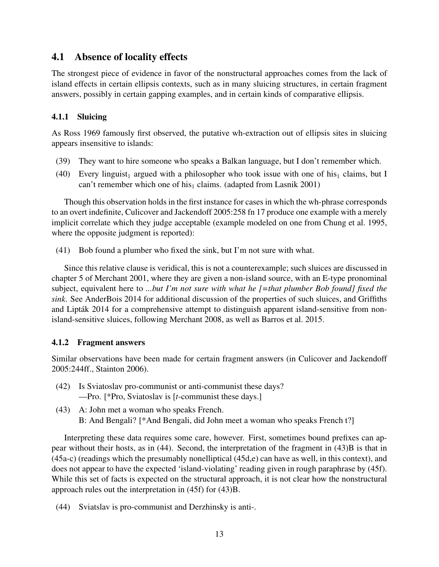## 4.1 Absence of locality effects

The strongest piece of evidence in favor of the nonstructural approaches comes from the lack of island effects in certain ellipsis contexts, such as in many sluicing structures, in certain fragment answers, possibly in certain gapping examples, and in certain kinds of comparative ellipsis.

### 4.1.1 Sluicing

As Ross 1969 famously first observed, the putative wh-extraction out of ellipsis sites in sluicing appears insensitive to islands:

- (39) They want to hire someone who speaks a Balkan language, but I don't remember which.
- (40) Every linguist<sub>1</sub> argued with a philosopher who took issue with one of his<sub>1</sub> claims, but I can't remember which one of his<sub>1</sub> claims. (adapted from Lasnik 2001)

Though this observation holds in the first instance for cases in which the wh-phrase corresponds to an overt indefinite, Culicover and Jackendoff 2005:258 fn 17 produce one example with a merely implicit correlate which they judge acceptable (example modeled on one from Chung et al. 1995, where the opposite judgment is reported):

(41) Bob found a plumber who fixed the sink, but I'm not sure with what.

Since this relative clause is veridical, this is not a counterexample; such sluices are discussed in chapter 5 of Merchant 2001, where they are given a non-island source, with an E-type pronominal subject, equivalent here to *...but I'm not sure with what he [=that plumber Bob found] fixed the sink*. See AnderBois 2014 for additional discussion of the properties of such sluices, and Griffiths and Lipták 2014 for a comprehensive attempt to distinguish apparent island-sensitive from nonisland-sensitive sluices, following Merchant 2008, as well as Barros et al. 2015.

### 4.1.2 Fragment answers

Similar observations have been made for certain fragment answers (in Culicover and Jackendoff 2005:244ff., Stainton 2006).

- (42) Is Sviatoslav pro-communist or anti-communist these days? —Pro. [\*Pro, Sviatoslav is [*t*-communist these days.]
- (43) A: John met a woman who speaks French. B: And Bengali? [\*And Bengali, did John meet a woman who speaks French t?]

Interpreting these data requires some care, however. First, sometimes bound prefixes can appear without their hosts, as in (44). Second, the interpretation of the fragment in (43)B is that in (45a-c) (readings which the presumably nonelliptical (45d,e) can have as well, in this context), and does not appear to have the expected 'island-violating' reading given in rough paraphrase by (45f). While this set of facts is expected on the structural approach, it is not clear how the nonstructural approach rules out the interpretation in (45f) for (43)B.

(44) Sviatslav is pro-communist and Derzhinsky is anti-.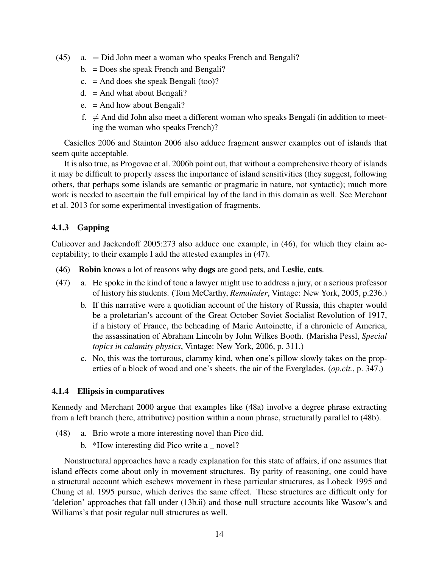- (45) a. = Did John meet a woman who speaks French and Bengali?
	- b. = Does she speak French and Bengali?
	- c.  $=$  And does she speak Bengali (too)?
	- $d. = And what about Bengali?$
	- $e. = And how about Bengali?$
	- f.  $\neq$  And did John also meet a different woman who speaks Bengali (in addition to meeting the woman who speaks French)?

Casielles 2006 and Stainton 2006 also adduce fragment answer examples out of islands that seem quite acceptable.

It is also true, as Progovac et al. 2006b point out, that without a comprehensive theory of islands it may be difficult to properly assess the importance of island sensitivities (they suggest, following others, that perhaps some islands are semantic or pragmatic in nature, not syntactic); much more work is needed to ascertain the full empirical lay of the land in this domain as well. See Merchant et al. 2013 for some experimental investigation of fragments.

### 4.1.3 Gapping

Culicover and Jackendoff 2005:273 also adduce one example, in (46), for which they claim acceptability; to their example I add the attested examples in (47).

- (46) Robin knows a lot of reasons why dogs are good pets, and Leslie, cats.
- (47) a. He spoke in the kind of tone a lawyer might use to address a jury, or a serious professor of history his students. (Tom McCarthy, *Remainder*, Vintage: New York, 2005, p.236.)
	- b. If this narrative were a quotidian account of the history of Russia, this chapter would be a proletarian's account of the Great October Soviet Socialist Revolution of 1917, if a history of France, the beheading of Marie Antoinette, if a chronicle of America, the assassination of Abraham Lincoln by John Wilkes Booth. (Marisha Pessl, *Special topics in calamity physics*, Vintage: New York, 2006, p. 311.)
	- c. No, this was the torturous, clammy kind, when one's pillow slowly takes on the properties of a block of wood and one's sheets, the air of the Everglades. (*op.cit.*, p. 347.)

### 4.1.4 Ellipsis in comparatives

Kennedy and Merchant 2000 argue that examples like (48a) involve a degree phrase extracting from a left branch (here, attributive) position within a noun phrase, structurally parallel to (48b).

- (48) a. Brio wrote a more interesting novel than Pico did.
	- b. \*How interesting did Pico write a \_ novel?

Nonstructural approaches have a ready explanation for this state of affairs, if one assumes that island effects come about only in movement structures. By parity of reasoning, one could have a structural account which eschews movement in these particular structures, as Lobeck 1995 and Chung et al. 1995 pursue, which derives the same effect. These structures are difficult only for 'deletion' approaches that fall under (13b.ii) and those null structure accounts like Wasow's and Williams's that posit regular null structures as well.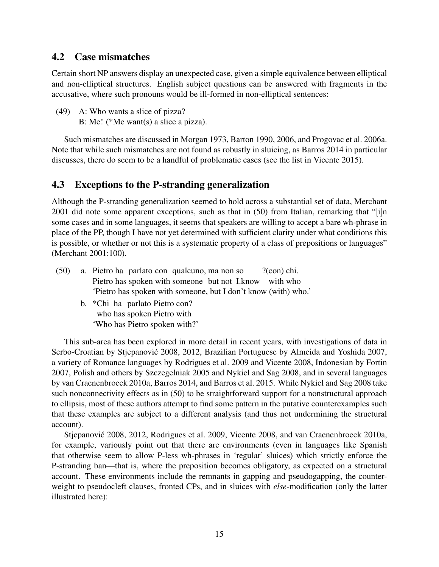### 4.2 Case mismatches

Certain short NP answers display an unexpected case, given a simple equivalence between elliptical and non-elliptical structures. English subject questions can be answered with fragments in the accusative, where such pronouns would be ill-formed in non-elliptical sentences:

(49) A: Who wants a slice of pizza? B: Me! (\*Me want(s) a slice a pizza).

Such mismatches are discussed in Morgan 1973, Barton 1990, 2006, and Progovac et al. 2006a. Note that while such mismatches are not found as robustly in sluicing, as Barros 2014 in particular discusses, there do seem to be a handful of problematic cases (see the list in Vicente 2015).

### 4.3 Exceptions to the P-stranding generalization

Although the P-stranding generalization seemed to hold across a substantial set of data, Merchant 2001 did note some apparent exceptions, such as that in (50) from Italian, remarking that "[i]n some cases and in some languages, it seems that speakers are willing to accept a bare wh-phrase in place of the PP, though I have not yet determined with sufficient clarity under what conditions this is possible, or whether or not this is a systematic property of a class of prepositions or languages" (Merchant 2001:100).

- (50) a. Pietro ha parlato con qualcuno, ma non so Pietro has spoken with someone but not I.know ?(con) chi. with who 'Pietro has spoken with someone, but I don't know (with) who.'
	- b. \*Chi ha parlato Pietro con? who has spoken Pietro with 'Who has Pietro spoken with?'

This sub-area has been explored in more detail in recent years, with investigations of data in Serbo-Croatian by Stjepanović 2008, 2012, Brazilian Portuguese by Almeida and Yoshida 2007, a variety of Romance languages by Rodrigues et al. 2009 and Vicente 2008, Indonesian by Fortin 2007, Polish and others by Szczegelniak 2005 and Nykiel and Sag 2008, and in several languages by van Craenenbroeck 2010a, Barros 2014, and Barros et al. 2015. While Nykiel and Sag 2008 take such nonconnectivity effects as in (50) to be straightforward support for a nonstructural approach to ellipsis, most of these authors attempt to find some pattern in the putative counterexamples such that these examples are subject to a different analysis (and thus not undermining the structural account).

Stjepanović 2008, 2012, Rodrigues et al. 2009, Vicente 2008, and van Craenenbroeck 2010a, for example, variously point out that there are environments (even in languages like Spanish that otherwise seem to allow P-less wh-phrases in 'regular' sluices) which strictly enforce the P-stranding ban—that is, where the preposition becomes obligatory, as expected on a structural account. These environments include the remnants in gapping and pseudogapping, the counterweight to pseudocleft clauses, fronted CPs, and in sluices with *else-*modification (only the latter illustrated here):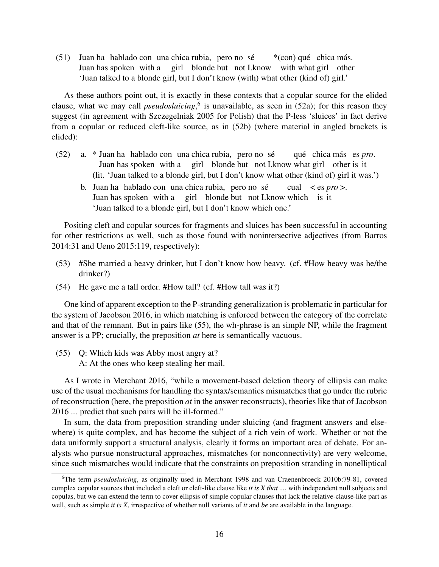(51) Juan ha hablado con una chica rubia, pero no sé Juan has spoken with a girl blonde but not I.know with what girl other \*(con) qué chica más. 'Juan talked to a blonde girl, but I don't know (with) what other (kind of) girl.'

As these authors point out, it is exactly in these contexts that a copular source for the elided clause, what we may call *pseudosluicing*, 6 is unavailable, as seen in (52a); for this reason they suggest (in agreement with Szczegelniak 2005 for Polish) that the P-less 'sluices' in fact derive from a copular or reduced cleft-like source, as in (52b) (where material in angled brackets is elided):

- (52) a. \* Juan ha hablado con una chica rubia, pero no sé Juan has spoken with a girl blonde but not I.know what girl other is it qué chica más es *pro*. (lit. 'Juan talked to a blonde girl, but I don't know what other (kind of) girl it was.')
	- b. Juan ha hablado con una chica rubia, pero no sé Juan has spoken with a girl blonde but not I.know which is it cual < es *pro* >. 'Juan talked to a blonde girl, but I don't know which one.'

Positing cleft and copular sources for fragments and sluices has been successful in accounting for other restrictions as well, such as those found with nonintersective adjectives (from Barros 2014:31 and Ueno 2015:119, respectively):

- (53) #She married a heavy drinker, but I don't know how heavy. (cf. #How heavy was he/the drinker?)
- (54) He gave me a tall order. #How tall? (cf. #How tall was it?)

One kind of apparent exception to the P-stranding generalization is problematic in particular for the system of Jacobson 2016, in which matching is enforced between the category of the correlate and that of the remnant. But in pairs like (55), the wh-phrase is an simple NP, while the fragment answer is a PP; crucially, the preposition *at* here is semantically vacuous.

(55) Q: Which kids was Abby most angry at? A: At the ones who keep stealing her mail.

As I wrote in Merchant 2016, "while a movement-based deletion theory of ellipsis can make use of the usual mechanisms for handling the syntax/semantics mismatches that go under the rubric of reconstruction (here, the preposition *at* in the answer reconstructs), theories like that of Jacobson 2016 ... predict that such pairs will be ill-formed."

In sum, the data from preposition stranding under sluicing (and fragment answers and elsewhere) is quite complex, and has become the subject of a rich vein of work. Whether or not the data uniformly support a structural analysis, clearly it forms an important area of debate. For analysts who pursue nonstructural approaches, mismatches (or nonconnectivity) are very welcome, since such mismatches would indicate that the constraints on preposition stranding in nonelliptical

<sup>6</sup>The term *pseudosluicing*, as originally used in Merchant 1998 and van Craenenbroeck 2010b:79-81, covered complex copular sources that included a cleft or cleft-like clause like *it is X that ...*, with independent null subjects and copulas, but we can extend the term to cover ellipsis of simple copular clauses that lack the relative-clause-like part as well, such as simple *it is X*, irrespective of whether null variants of *it* and *be* are available in the language.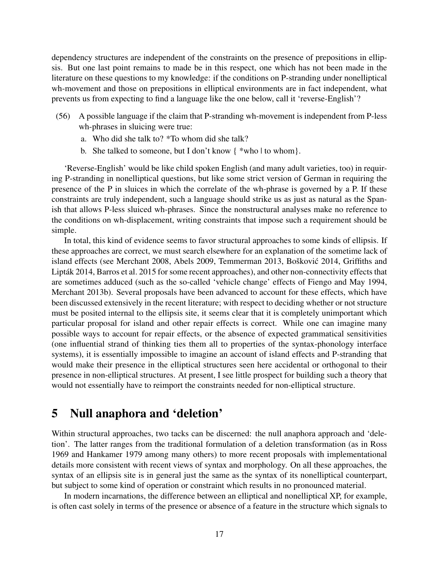dependency structures are independent of the constraints on the presence of prepositions in ellipsis. But one last point remains to made be in this respect, one which has not been made in the literature on these questions to my knowledge: if the conditions on P-stranding under nonelliptical wh-movement and those on prepositions in elliptical environments are in fact independent, what prevents us from expecting to find a language like the one below, call it 'reverse-English'?

- (56) A possible language if the claim that P-stranding wh-movement is independent from P-less wh-phrases in sluicing were true:
	- a. Who did she talk to? \*To whom did she talk?
	- b. She talked to someone, but I don't know { \*who | to whom}.

'Reverse-English' would be like child spoken English (and many adult varieties, too) in requiring P-stranding in nonelliptical questions, but like some strict version of German in requiring the presence of the P in sluices in which the correlate of the wh-phrase is governed by a P. If these constraints are truly independent, such a language should strike us as just as natural as the Spanish that allows P-less sluiced wh-phrases. Since the nonstructural analyses make no reference to the conditions on wh-displacement, writing constraints that impose such a requirement should be simple.

In total, this kind of evidence seems to favor structural approaches to some kinds of ellipsis. If these approaches are correct, we must search elsewhere for an explanation of the sometime lack of island effects (see Merchant 2008, Abels 2009, Temmerman 2013, Boškovic 2014, Griffiths and ´ Lipták 2014, Barros et al. 2015 for some recent approaches), and other non-connectivity effects that are sometimes adduced (such as the so-called 'vehicle change' effects of Fiengo and May 1994, Merchant 2013b). Several proposals have been advanced to account for these effects, which have been discussed extensively in the recent literature; with respect to deciding whether or not structure must be posited internal to the ellipsis site, it seems clear that it is completely unimportant which particular proposal for island and other repair effects is correct. While one can imagine many possible ways to account for repair effects, or the absence of expected grammatical sensitivities (one influential strand of thinking ties them all to properties of the syntax-phonology interface systems), it is essentially impossible to imagine an account of island effects and P-stranding that would make their presence in the elliptical structures seen here accidental or orthogonal to their presence in non-elliptical structures. At present, I see little prospect for building such a theory that would not essentially have to reimport the constraints needed for non-elliptical structure.

# 5 Null anaphora and 'deletion'

Within structural approaches, two tacks can be discerned: the null anaphora approach and 'deletion'. The latter ranges from the traditional formulation of a deletion transformation (as in Ross 1969 and Hankamer 1979 among many others) to more recent proposals with implementational details more consistent with recent views of syntax and morphology. On all these approaches, the syntax of an ellipsis site is in general just the same as the syntax of its nonelliptical counterpart, but subject to some kind of operation or constraint which results in no pronounced material.

In modern incarnations, the difference between an elliptical and nonelliptical XP, for example, is often cast solely in terms of the presence or absence of a feature in the structure which signals to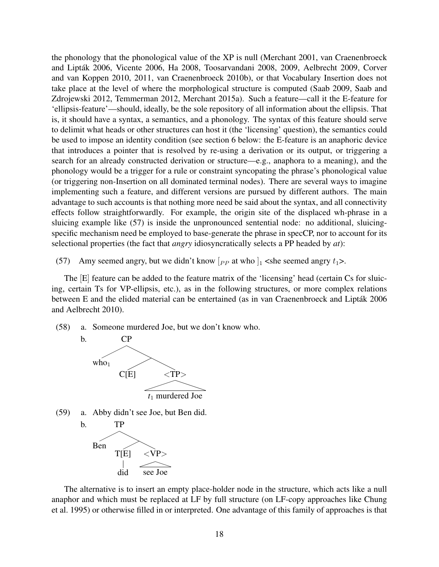the phonology that the phonological value of the XP is null (Merchant 2001, van Craenenbroeck and Lipták 2006, Vicente 2006, Ha 2008, Toosarvandani 2008, 2009, Aelbrecht 2009, Corver and van Koppen 2010, 2011, van Craenenbroeck 2010b), or that Vocabulary Insertion does not take place at the level of where the morphological structure is computed (Saab 2009, Saab and Zdrojewski 2012, Temmerman 2012, Merchant 2015a). Such a feature—call it the E-feature for 'ellipsis-feature'—should, ideally, be the sole repository of all information about the ellipsis. That is, it should have a syntax, a semantics, and a phonology. The syntax of this feature should serve to delimit what heads or other structures can host it (the 'licensing' question), the semantics could be used to impose an identity condition (see section 6 below: the E-feature is an anaphoric device that introduces a pointer that is resolved by re-using a derivation or its output, or triggering a search for an already constructed derivation or structure—e.g., anaphora to a meaning), and the phonology would be a trigger for a rule or constraint syncopating the phrase's phonological value (or triggering non-Insertion on all dominated terminal nodes). There are several ways to imagine implementing such a feature, and different versions are pursued by different authors. The main advantage to such accounts is that nothing more need be said about the syntax, and all connectivity effects follow straightforwardly. For example, the origin site of the displaced wh-phrase in a sluicing example like (57) is inside the unpronounced sentential node: no additional, sluicingspecific mechanism need be employed to base-generate the phrase in specCP, nor to account for its selectional properties (the fact that *angry* idiosyncratically selects a PP headed by *at*):

(57) Amy seemed angry, but we didn't know  $\vert_{PP}$  at who  $\vert_1$  < she seemed angry  $t_1$ >.

The [E] feature can be added to the feature matrix of the 'licensing' head (certain Cs for sluicing, certain Ts for VP-ellipsis, etc.), as in the following structures, or more complex relations between E and the elided material can be entertained (as in van Craenenbroeck and Lipták 2006 and Aelbrecht 2010).

(58) a. Someone murdered Joe, but we don't know who.



(59) a. Abby didn't see Joe, but Ben did.



The alternative is to insert an empty place-holder node in the structure, which acts like a null anaphor and which must be replaced at LF by full structure (on LF-copy approaches like Chung et al. 1995) or otherwise filled in or interpreted. One advantage of this family of approaches is that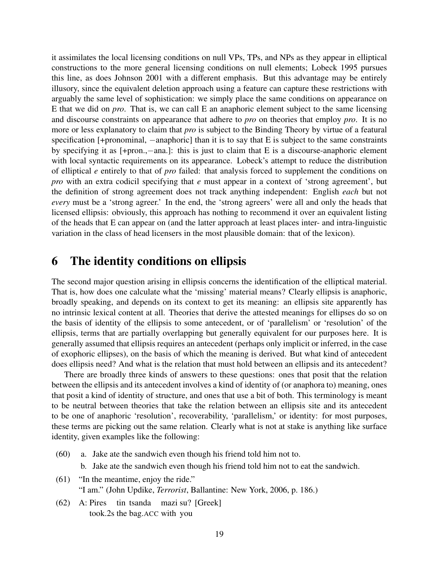it assimilates the local licensing conditions on null VPs, TPs, and NPs as they appear in elliptical constructions to the more general licensing conditions on null elements; Lobeck 1995 pursues this line, as does Johnson 2001 with a different emphasis. But this advantage may be entirely illusory, since the equivalent deletion approach using a feature can capture these restrictions with arguably the same level of sophistication: we simply place the same conditions on appearance on E that we did on *pro*. That is, we can call E an anaphoric element subject to the same licensing and discourse constraints on appearance that adhere to *pro* on theories that employ *pro*. It is no more or less explanatory to claim that *pro* is subject to the Binding Theory by virtue of a featural specification [+pronominal, −anaphoric] than it is to say that E is subject to the same constraints by specifying it as [+pron.,−ana.]: this is just to claim that E is a discourse-anaphoric element with local syntactic requirements on its appearance. Lobeck's attempt to reduce the distribution of elliptical *e* entirely to that of *pro* failed: that analysis forced to supplement the conditions on *pro* with an extra codicil specifying that *e* must appear in a context of 'strong agreement', but the definition of strong agreement does not track anything independent: English *each* but not *every* must be a 'strong agreer.' In the end, the 'strong agreers' were all and only the heads that licensed ellipsis: obviously, this approach has nothing to recommend it over an equivalent listing of the heads that E can appear on (and the latter approach at least places inter- and intra-linguistic variation in the class of head licensers in the most plausible domain: that of the lexicon).

# 6 The identity conditions on ellipsis

The second major question arising in ellipsis concerns the identification of the elliptical material. That is, how does one calculate what the 'missing' material means? Clearly ellipsis is anaphoric, broadly speaking, and depends on its context to get its meaning: an ellipsis site apparently has no intrinsic lexical content at all. Theories that derive the attested meanings for ellipses do so on the basis of identity of the ellipsis to some antecedent, or of 'parallelism' or 'resolution' of the ellipsis, terms that are partially overlapping but generally equivalent for our purposes here. It is generally assumed that ellipsis requires an antecedent (perhaps only implicit or inferred, in the case of exophoric ellipses), on the basis of which the meaning is derived. But what kind of antecedent does ellipsis need? And what is the relation that must hold between an ellipsis and its antecedent?

There are broadly three kinds of answers to these questions: ones that posit that the relation between the ellipsis and its antecedent involves a kind of identity of (or anaphora to) meaning, ones that posit a kind of identity of structure, and ones that use a bit of both. This terminology is meant to be neutral between theories that take the relation between an ellipsis site and its antecedent to be one of anaphoric 'resolution', recoverability, 'parallelism,' or identity: for most purposes, these terms are picking out the same relation. Clearly what is not at stake is anything like surface identity, given examples like the following:

- (60) a. Jake ate the sandwich even though his friend told him not to.
	- b. Jake ate the sandwich even though his friend told him not to eat the sandwich.
- (61) "In the meantime, enjoy the ride." "I am." (John Updike, *Terrorist*, Ballantine: New York, 2006, p. 186.)
- (62) A: Pires tin tsanda mazi su? [Greek] took.2s the bag.ACC with you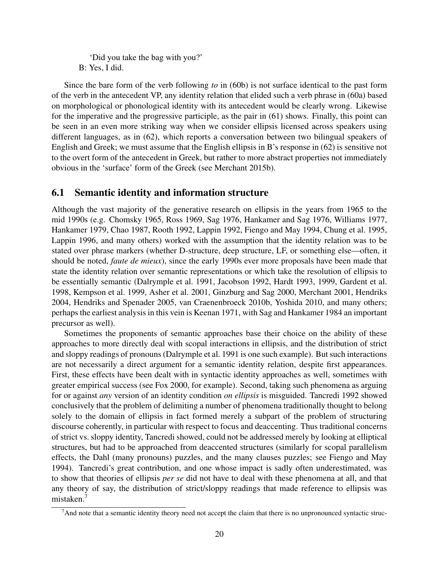'Did you take the bag with you?' B: Yes, I did.

Since the bare form of the verb following *to* in (60b) is not surface identical to the past form of the verb in the antecedent VP, any identity relation that elided such a verb phrase in (60a) based on morphological or phonological identity with its antecedent would be clearly wrong. Likewise for the imperative and the progressive participle, as the pair in (61) shows. Finally, this point can be seen in an even more striking way when we consider ellipsis licensed across speakers using different languages, as in (62), which reports a conversation between two bilingual speakers of English and Greek; we must assume that the English ellipsis in B's response in (62) is sensitive not to the overt form of the antecedent in Greek, but rather to more abstract properties not immediately obvious in the 'surface' form of the Greek (see Merchant 2015b).

### 6.1 Semantic identity and information structure

Although the vast majority of the generative research on ellipsis in the years from 1965 to the mid 1990s (e.g. Chomsky 1965, Ross 1969, Sag 1976, Hankamer and Sag 1976, Williams 1977, Hankamer 1979, Chao 1987, Rooth 1992, Lappin 1992, Fiengo and May 1994, Chung et al. 1995, Lappin 1996, and many others) worked with the assumption that the identity relation was to be stated over phrase markers (whether D-structure, deep structure, LF, or something else—often, it should be noted, *faute de mieux*), since the early 1990s ever more proposals have been made that state the identity relation over semantic representations or which take the resolution of ellipsis to be essentially semantic (Dalrymple et al. 1991, Jacobson 1992, Hardt 1993, 1999, Gardent et al. 1998, Kempson et al. 1999, Asher et al. 2001, Ginzburg and Sag 2000, Merchant 2001, Hendriks 2004, Hendriks and Spenader 2005, van Craenenbroeck 2010b, Yoshida 2010, and many others; perhaps the earliest analysis in this vein is Keenan 1971, with Sag and Hankamer 1984 an important precursor as well).

Sometimes the proponents of semantic approaches base their choice on the ability of these approaches to more directly deal with scopal interactions in ellipsis, and the distribution of strict and sloppy readings of pronouns (Dalrymple et al. 1991 is one such example). But such interactions are not necessarily a direct argument for a semantic identity relation, despite first appearances. First, these effects have been dealt with in syntactic identity approaches as well, sometimes with greater empirical success (see Fox 2000, for example). Second, taking such phenomena as arguing for or against *any* version of an identity condition *on ellipsis* is misguided. Tancredi 1992 showed conclusively that the problem of delimiting a number of phenomena traditionally thought to belong solely to the domain of ellipsis in fact formed merely a subpart of the problem of structuring discourse coherently, in particular with respect to focus and deaccenting. Thus traditional concerns of strict vs. sloppy identity, Tancredi showed, could not be addressed merely by looking at elliptical structures, but had to be approached from deaccented structures (similarly for scopal parallelism effects, the Dahl (many pronouns) puzzles, and the many clauses puzzles; see Fiengo and May 1994). Tancredi's great contribution, and one whose impact is sadly often underestimated, was to show that theories of ellipsis *per se* did not have to deal with these phenomena at all, and that any theory of say, the distribution of strict/sloppy readings that made reference to ellipsis was mistaken.<sup>7</sup>

 $<sup>7</sup>$ And note that a semantic identity theory need not accept the claim that there is no unpronounced syntactic struc-</sup>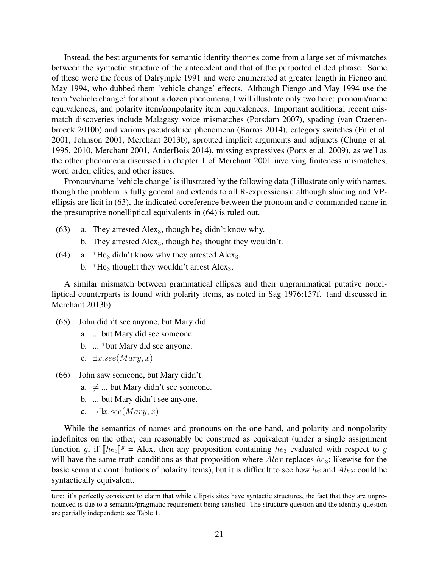Instead, the best arguments for semantic identity theories come from a large set of mismatches between the syntactic structure of the antecedent and that of the purported elided phrase. Some of these were the focus of Dalrymple 1991 and were enumerated at greater length in Fiengo and May 1994, who dubbed them 'vehicle change' effects. Although Fiengo and May 1994 use the term 'vehicle change' for about a dozen phenomena, I will illustrate only two here: pronoun/name equivalences, and polarity item/nonpolarity item equivalences. Important additional recent mismatch discoveries include Malagasy voice mismatches (Potsdam 2007), spading (van Craenenbroeck 2010b) and various pseudosluice phenomena (Barros 2014), category switches (Fu et al. 2001, Johnson 2001, Merchant 2013b), sprouted implicit arguments and adjuncts (Chung et al. 1995, 2010, Merchant 2001, AnderBois 2014), missing expressives (Potts et al. 2009), as well as the other phenomena discussed in chapter 1 of Merchant 2001 involving finiteness mismatches, word order, clitics, and other issues.

Pronoun/name 'vehicle change' is illustrated by the following data (I illustrate only with names, though the problem is fully general and extends to all R-expressions); although sluicing and VPellipsis are licit in (63), the indicated coreference between the pronoun and c-commanded name in the presumptive nonelliptical equivalents in (64) is ruled out.

- (63) a. They arrested Alex<sub>3</sub>, though he<sub>3</sub> didn't know why.
	- b. They arrested  $Alex_3$ , though he<sub>3</sub> thought they wouldn't.
- (64) a. \*He<sub>3</sub> didn't know why they arrested Alex<sub>3</sub>.
	- b. \*He<sub>3</sub> thought they wouldn't arrest Alex<sub>3</sub>.

A similar mismatch between grammatical ellipses and their ungrammatical putative nonelliptical counterparts is found with polarity items, as noted in Sag 1976:157f. (and discussed in Merchant 2013b):

- (65) John didn't see anyone, but Mary did.
	- a. ... but Mary did see someone.
	- b. ... \*but Mary did see anyone.
	- c.  $\exists x. see (Mary, x)$
- (66) John saw someone, but Mary didn't.
	- a.  $\neq$  ... but Mary didn't see someone.
	- b. ... but Mary didn't see anyone.
	- c.  $\neg \exists x. see (Mary, x)$

While the semantics of names and pronouns on the one hand, and polarity and nonpolarity indefinites on the other, can reasonably be construed as equivalent (under a single assignment function g, if  $[\![he_3]\!]^g$  = Alex, then any proposition containing  $he_3$  evaluated with respect to g<br>will have the same truth conditions as that proposition where Alex replaces he : likewise for the will have the same truth conditions as that proposition where  $Alex$  replaces  $he_3$ ; likewise for the basic semantic contributions of polarity items), but it is difficult to see how he and Alex could be syntactically equivalent.

ture: it's perfectly consistent to claim that while ellipsis sites have syntactic structures, the fact that they are unpronounced is due to a semantic/pragmatic requirement being satisfied. The structure question and the identity question are partially independent; see Table 1.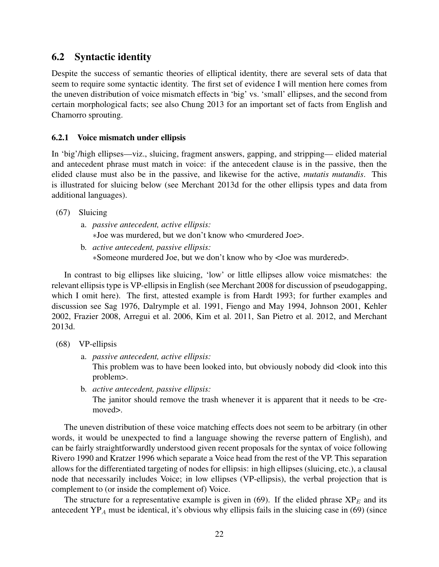## 6.2 Syntactic identity

Despite the success of semantic theories of elliptical identity, there are several sets of data that seem to require some syntactic identity. The first set of evidence I will mention here comes from the uneven distribution of voice mismatch effects in 'big' vs. 'small' ellipses, and the second from certain morphological facts; see also Chung 2013 for an important set of facts from English and Chamorro sprouting.

### 6.2.1 Voice mismatch under ellipsis

In 'big'/high ellipses—viz., sluicing, fragment answers, gapping, and stripping— elided material and antecedent phrase must match in voice: if the antecedent clause is in the passive, then the elided clause must also be in the passive, and likewise for the active, *mutatis mutandis*. This is illustrated for sluicing below (see Merchant 2013d for the other ellipsis types and data from additional languages).

- (67) Sluicing
	- a. *passive antecedent, active ellipsis:* ∗Joe was murdered, but we don't know who <murdered Joe>.
	- b. *active antecedent, passive ellipsis:* ∗Someone murdered Joe, but we don't know who by <Joe was murdered>.

In contrast to big ellipses like sluicing, 'low' or little ellipses allow voice mismatches: the relevant ellipsis type is VP-ellipsis in English (see Merchant 2008 for discussion of pseudogapping, which I omit here). The first, attested example is from Hardt 1993; for further examples and discussion see Sag 1976, Dalrymple et al. 1991, Fiengo and May 1994, Johnson 2001, Kehler 2002, Frazier 2008, Arregui et al. 2006, Kim et al. 2011, San Pietro et al. 2012, and Merchant 2013d.

- (68) VP-ellipsis
	- a. *passive antecedent, active ellipsis:* This problem was to have been looked into, but obviously nobody did <look into this problem>.
	- b. *active antecedent, passive ellipsis:* The janitor should remove the trash whenever it is apparent that it needs to be  $\leq$ removed>.

The uneven distribution of these voice matching effects does not seem to be arbitrary (in other words, it would be unexpected to find a language showing the reverse pattern of English), and can be fairly straightforwardly understood given recent proposals for the syntax of voice following Rivero 1990 and Kratzer 1996 which separate a Voice head from the rest of the VP. This separation allows for the differentiated targeting of nodes for ellipsis: in high ellipses (sluicing, etc.), a clausal node that necessarily includes Voice; in low ellipses (VP-ellipsis), the verbal projection that is complement to (or inside the complement of) Voice.

The structure for a representative example is given in (69). If the elided phrase  $XP_E$  and its antecedent  $YP<sub>A</sub>$  must be identical, it's obvious why ellipsis fails in the sluicing case in (69) (since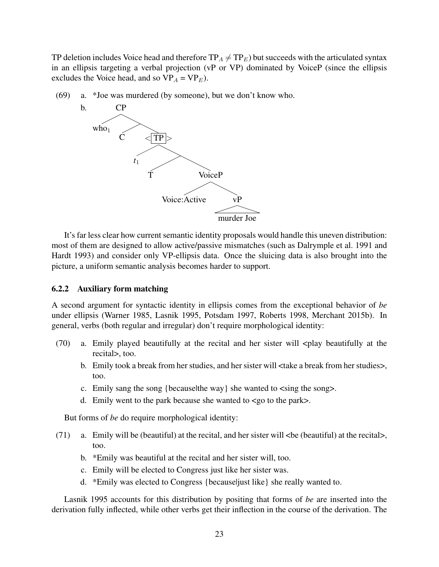TP deletion includes Voice head and therefore  $TP_A \neq TP_E$ ) but succeeds with the articulated syntax in an ellipsis targeting a verbal projection (vP or VP) dominated by VoiceP (since the ellipsis excludes the Voice head, and so  $VP_A = VP_E$ ).

(69) a. \*Joe was murdered (by someone), but we don't know who.



It's far less clear how current semantic identity proposals would handle this uneven distribution: most of them are designed to allow active/passive mismatches (such as Dalrymple et al. 1991 and Hardt 1993) and consider only VP-ellipsis data. Once the sluicing data is also brought into the picture, a uniform semantic analysis becomes harder to support.

#### 6.2.2 Auxiliary form matching

A second argument for syntactic identity in ellipsis comes from the exceptional behavior of *be* under ellipsis (Warner 1985, Lasnik 1995, Potsdam 1997, Roberts 1998, Merchant 2015b). In general, verbs (both regular and irregular) don't require morphological identity:

- (70) a. Emily played beautifully at the recital and her sister will  $\langle$  play beautifully at the recital>, too.
	- b. Emily took a break from her studies, and her sister will <take a break from her studies>, too.
	- c. Emily sang the song {becauseline way} she wanted to  $\langle$  sing the song>.
	- d. Emily went to the park because she wanted to  $\langle$  go to the park $\rangle$ .

But forms of *be* do require morphological identity:

- $(71)$  a. Emily will be (beautiful) at the recital, and her sister will  $\leq$  be (beautiful) at the recital  $\geq$ , too.
	- b. \*Emily was beautiful at the recital and her sister will, too.
	- c. Emily will be elected to Congress just like her sister was.
	- d. \*Emily was elected to Congress {because|just like} she really wanted to.

Lasnik 1995 accounts for this distribution by positing that forms of *be* are inserted into the derivation fully inflected, while other verbs get their inflection in the course of the derivation. The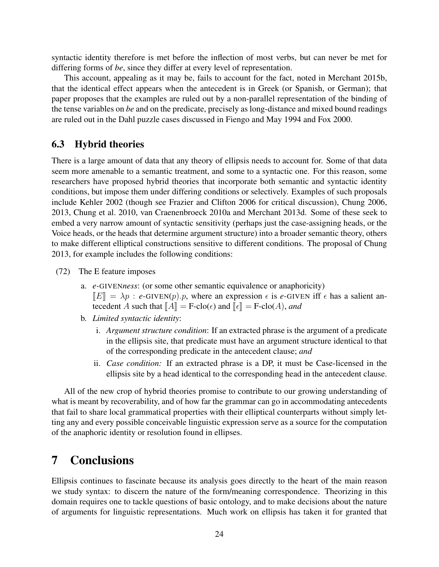syntactic identity therefore is met before the inflection of most verbs, but can never be met for differing forms of *be*, since they differ at every level of representation.

This account, appealing as it may be, fails to account for the fact, noted in Merchant 2015b, that the identical effect appears when the antecedent is in Greek (or Spanish, or German); that paper proposes that the examples are ruled out by a non-parallel representation of the binding of the tense variables on *be* and on the predicate, precisely as long-distance and mixed bound readings are ruled out in the Dahl puzzle cases discussed in Fiengo and May 1994 and Fox 2000.

### 6.3 Hybrid theories

There is a large amount of data that any theory of ellipsis needs to account for. Some of that data seem more amenable to a semantic treatment, and some to a syntactic one. For this reason, some researchers have proposed hybrid theories that incorporate both semantic and syntactic identity conditions, but impose them under differing conditions or selectively. Examples of such proposals include Kehler 2002 (though see Frazier and Clifton 2006 for critical discussion), Chung 2006, 2013, Chung et al. 2010, van Craenenbroeck 2010a and Merchant 2013d. Some of these seek to embed a very narrow amount of syntactic sensitivity (perhaps just the case-assigning heads, or the Voice heads, or the heads that determine argument structure) into a broader semantic theory, others to make different elliptical constructions sensitive to different conditions. The proposal of Chung 2013, for example includes the following conditions:

- (72) The E feature imposes
	- a. *e-*GIVEN*ness*: (or some other semantic equivalence or anaphoricity)  $\mathbb{E}$  =  $\lambda p$  : *e*-GIVEN(*p*).*p*, where an expression  $\epsilon$  is *e*-GIVEN iff  $\epsilon$  has a salient antecedent A such that  $\llbracket A \rrbracket = \text{F-clo}(\epsilon)$  and  $\llbracket \epsilon \rrbracket = \text{F-clo}(A)$ , and
	- b. *Limited syntactic identity*:
		- i. *Argument structure condition*: If an extracted phrase is the argument of a predicate in the ellipsis site, that predicate must have an argument structure identical to that of the corresponding predicate in the antecedent clause; *and*
		- ii. *Case condition:* If an extracted phrase is a DP, it must be Case-licensed in the ellipsis site by a head identical to the corresponding head in the antecedent clause.

All of the new crop of hybrid theories promise to contribute to our growing understanding of what is meant by recoverability, and of how far the grammar can go in accommodating antecedents that fail to share local grammatical properties with their elliptical counterparts without simply letting any and every possible conceivable linguistic expression serve as a source for the computation of the anaphoric identity or resolution found in ellipses.

# 7 Conclusions

Ellipsis continues to fascinate because its analysis goes directly to the heart of the main reason we study syntax: to discern the nature of the form/meaning correspondence. Theorizing in this domain requires one to tackle questions of basic ontology, and to make decisions about the nature of arguments for linguistic representations. Much work on ellipsis has taken it for granted that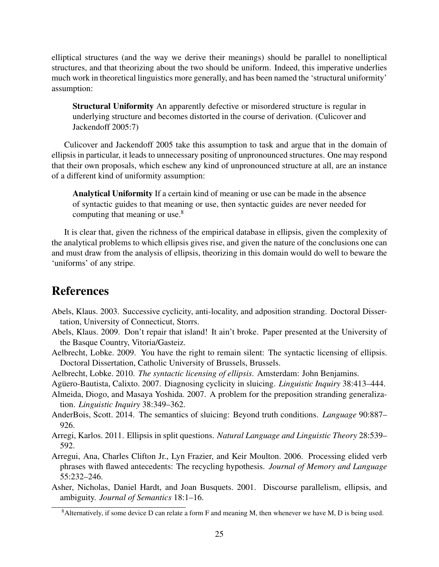elliptical structures (and the way we derive their meanings) should be parallel to nonelliptical structures, and that theorizing about the two should be uniform. Indeed, this imperative underlies much work in theoretical linguistics more generally, and has been named the 'structural uniformity' assumption:

Structural Uniformity An apparently defective or misordered structure is regular in underlying structure and becomes distorted in the course of derivation. (Culicover and Jackendoff 2005:7)

Culicover and Jackendoff 2005 take this assumption to task and argue that in the domain of ellipsis in particular, it leads to unnecessary positing of unpronounced structures. One may respond that their own proposals, which eschew any kind of unpronounced structure at all, are an instance of a different kind of uniformity assumption:

Analytical Uniformity If a certain kind of meaning or use can be made in the absence of syntactic guides to that meaning or use, then syntactic guides are never needed for computing that meaning or use.<sup>8</sup>

It is clear that, given the richness of the empirical database in ellipsis, given the complexity of the analytical problems to which ellipsis gives rise, and given the nature of the conclusions one can and must draw from the analysis of ellipsis, theorizing in this domain would do well to beware the 'uniforms' of any stripe.

# References

- Abels, Klaus. 2003. Successive cyclicity, anti-locality, and adposition stranding. Doctoral Dissertation, University of Connecticut, Storrs.
- Abels, Klaus. 2009. Don't repair that island! It ain't broke. Paper presented at the University of the Basque Country, Vitoria/Gasteiz.
- Aelbrecht, Lobke. 2009. You have the right to remain silent: The syntactic licensing of ellipsis. Doctoral Dissertation, Catholic University of Brussels, Brussels.
- Aelbrecht, Lobke. 2010. *The syntactic licensing of ellipsis*. Amsterdam: John Benjamins.
- Agüero-Bautista, Calixto. 2007. Diagnosing cyclicity in sluicing. *Linguistic Inquiry* 38:413–444.
- Almeida, Diogo, and Masaya Yoshida. 2007. A problem for the preposition stranding generalization. *Linguistic Inquiry* 38:349–362.
- AnderBois, Scott. 2014. The semantics of sluicing: Beyond truth conditions. *Language* 90:887– 926.
- Arregi, Karlos. 2011. Ellipsis in split questions. *Natural Language and Linguistic Theory* 28:539– 592.
- Arregui, Ana, Charles Clifton Jr., Lyn Frazier, and Keir Moulton. 2006. Processing elided verb phrases with flawed antecedents: The recycling hypothesis. *Journal of Memory and Language* 55:232–246.
- Asher, Nicholas, Daniel Hardt, and Joan Busquets. 2001. Discourse parallelism, ellipsis, and ambiguity. *Journal of Semantics* 18:1–16.

<sup>8</sup>Alternatively, if some device D can relate a form F and meaning M, then whenever we have M, D is being used.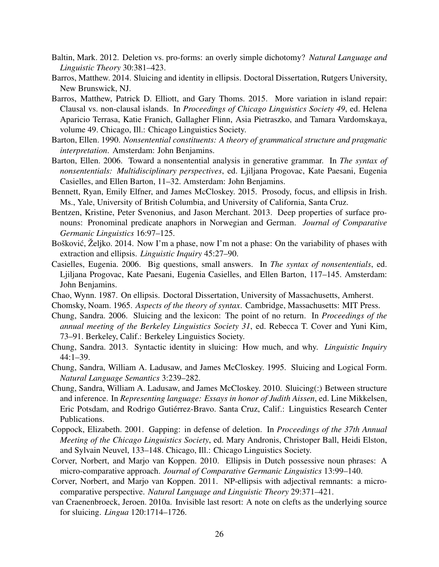- Baltin, Mark. 2012. Deletion vs. pro-forms: an overly simple dichotomy? *Natural Language and Linguistic Theory* 30:381–423.
- Barros, Matthew. 2014. Sluicing and identity in ellipsis. Doctoral Dissertation, Rutgers University, New Brunswick, NJ.
- Barros, Matthew, Patrick D. Elliott, and Gary Thoms. 2015. More variation in island repair: Clausal vs. non-clausal islands. In *Proceedings of Chicago Linguistics Society 49*, ed. Helena Aparicio Terrasa, Katie Franich, Gallagher Flinn, Asia Pietraszko, and Tamara Vardomskaya, volume 49. Chicago, Ill.: Chicago Linguistics Society.
- Barton, Ellen. 1990. *Nonsentential constituents: A theory of grammatical structure and pragmatic interpretation*. Amsterdam: John Benjamins.
- Barton, Ellen. 2006. Toward a nonsentential analysis in generative grammar. In *The syntax of nonsententials: Multidisciplinary perspectives*, ed. Ljiljana Progovac, Kate Paesani, Eugenia Casielles, and Ellen Barton, 11–32. Amsterdam: John Benjamins.
- Bennett, Ryan, Emily Elfner, and James McCloskey. 2015. Prosody, focus, and ellipsis in Irish. Ms., Yale, University of British Columbia, and University of California, Santa Cruz.
- Bentzen, Kristine, Peter Svenonius, and Jason Merchant. 2013. Deep properties of surface pronouns: Pronominal predicate anaphors in Norwegian and German. *Journal of Comparative Germanic Linguistics* 16:97–125.
- Bošković, Željko. 2014. Now I'm a phase, now I'm not a phase: On the variability of phases with extraction and ellipsis. *Linguistic Inquiry* 45:27–90.
- Casielles, Eugenia. 2006. Big questions, small answers. In *The syntax of nonsententials*, ed. Ljiljana Progovac, Kate Paesani, Eugenia Casielles, and Ellen Barton, 117–145. Amsterdam: John Benjamins.
- Chao, Wynn. 1987. On ellipsis. Doctoral Dissertation, University of Massachusetts, Amherst.
- Chomsky, Noam. 1965. *Aspects of the theory of syntax*. Cambridge, Massachusetts: MIT Press.
- Chung, Sandra. 2006. Sluicing and the lexicon: The point of no return. In *Proceedings of the annual meeting of the Berkeley Linguistics Society 31*, ed. Rebecca T. Cover and Yuni Kim, 73–91. Berkeley, Calif.: Berkeley Linguistics Society.
- Chung, Sandra. 2013. Syntactic identity in sluicing: How much, and why. *Linguistic Inquiry* 44:1–39.
- Chung, Sandra, William A. Ladusaw, and James McCloskey. 1995. Sluicing and Logical Form. *Natural Language Semantics* 3:239–282.
- Chung, Sandra, William A. Ladusaw, and James McCloskey. 2010. Sluicing(:) Between structure and inference. In *Representing language: Essays in honor of Judith Aissen*, ed. Line Mikkelsen, Eric Potsdam, and Rodrigo Gutiérrez-Bravo. Santa Cruz, Calif.: Linguistics Research Center Publications.
- Coppock, Elizabeth. 2001. Gapping: in defense of deletion. In *Proceedings of the 37th Annual Meeting of the Chicago Linguistics Society*, ed. Mary Andronis, Christoper Ball, Heidi Elston, and Sylvain Neuvel, 133–148. Chicago, Ill.: Chicago Linguistics Society.
- Corver, Norbert, and Marjo van Koppen. 2010. Ellipsis in Dutch possessive noun phrases: A micro-comparative approach. *Journal of Comparative Germanic Linguistics* 13:99–140.
- Corver, Norbert, and Marjo van Koppen. 2011. NP-ellipsis with adjectival remnants: a microcomparative perspective. *Natural Language and Linguistic Theory* 29:371–421.
- van Craenenbroeck, Jeroen. 2010a. Invisible last resort: A note on clefts as the underlying source for sluicing. *Lingua* 120:1714–1726.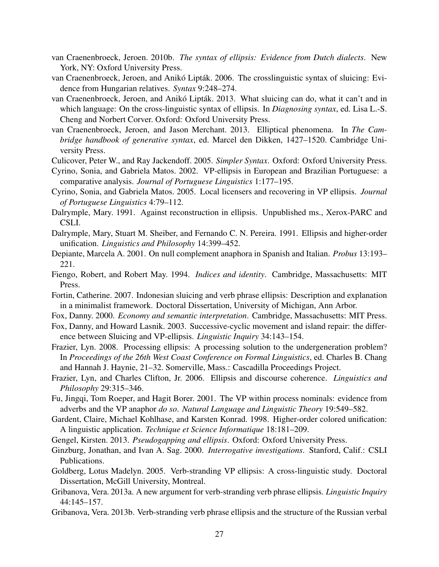- van Craenenbroeck, Jeroen. 2010b. *The syntax of ellipsis: Evidence from Dutch dialects*. New York, NY: Oxford University Press.
- van Craenenbroeck, Jeroen, and Anikó Lipták. 2006. The crosslinguistic syntax of sluicing: Evidence from Hungarian relatives. *Syntax* 9:248–274.
- van Craenenbroeck, Jeroen, and Anikó Lipták. 2013. What sluicing can do, what it can't and in which language: On the cross-linguistic syntax of ellipsis. In *Diagnosing syntax*, ed. Lisa L.-S. Cheng and Norbert Corver. Oxford: Oxford University Press.
- van Craenenbroeck, Jeroen, and Jason Merchant. 2013. Elliptical phenomena. In *The Cambridge handbook of generative syntax*, ed. Marcel den Dikken, 1427–1520. Cambridge University Press.
- Culicover, Peter W., and Ray Jackendoff. 2005. *Simpler Syntax*. Oxford: Oxford University Press.
- Cyrino, Sonia, and Gabriela Matos. 2002. VP-ellipsis in European and Brazilian Portuguese: a comparative analysis. *Journal of Portuguese Linguistics* 1:177–195.
- Cyrino, Sonia, and Gabriela Matos. 2005. Local licensers and recovering in VP ellipsis. *Journal of Portuguese Linguistics* 4:79–112.
- Dalrymple, Mary. 1991. Against reconstruction in ellipsis. Unpublished ms., Xerox-PARC and CSLI.
- Dalrymple, Mary, Stuart M. Sheiber, and Fernando C. N. Pereira. 1991. Ellipsis and higher-order unification. *Linguistics and Philosophy* 14:399–452.
- Depiante, Marcela A. 2001. On null complement anaphora in Spanish and Italian. *Probus* 13:193– 221.
- Fiengo, Robert, and Robert May. 1994. *Indices and identity*. Cambridge, Massachusetts: MIT Press.
- Fortin, Catherine. 2007. Indonesian sluicing and verb phrase ellipsis: Description and explanation in a minimalist framework. Doctoral Dissertation, University of Michigan, Ann Arbor.
- Fox, Danny. 2000. *Economy and semantic interpretation*. Cambridge, Massachusetts: MIT Press.
- Fox, Danny, and Howard Lasnik. 2003. Successive-cyclic movement and island repair: the difference between Sluicing and VP-ellipsis. *Linguistic Inquiry* 34:143–154.
- Frazier, Lyn. 2008. Processing ellipsis: A processing solution to the undergeneration problem? In *Proceedings of the 26th West Coast Conference on Formal Linguistics*, ed. Charles B. Chang and Hannah J. Haynie, 21–32. Somerville, Mass.: Cascadilla Proceedings Project.
- Frazier, Lyn, and Charles Clifton, Jr. 2006. Ellipsis and discourse coherence. *Linguistics and Philosophy* 29:315–346.
- Fu, Jingqi, Tom Roeper, and Hagit Borer. 2001. The VP within process nominals: evidence from adverbs and the VP anaphor *do so*. *Natural Language and Linguistic Theory* 19:549–582.
- Gardent, Claire, Michael Kohlhase, and Karsten Konrad. 1998. Higher-order colored unification: A linguistic application. *Technique et Science Informatique* 18:181–209.
- Gengel, Kirsten. 2013. *Pseudogapping and ellipsis*. Oxford: Oxford University Press.
- Ginzburg, Jonathan, and Ivan A. Sag. 2000. *Interrogative investigations*. Stanford, Calif.: CSLI Publications.
- Goldberg, Lotus Madelyn. 2005. Verb-stranding VP ellipsis: A cross-linguistic study. Doctoral Dissertation, McGill University, Montreal.
- Gribanova, Vera. 2013a. A new argument for verb-stranding verb phrase ellipsis. *Linguistic Inquiry* 44:145–157.
- Gribanova, Vera. 2013b. Verb-stranding verb phrase ellipsis and the structure of the Russian verbal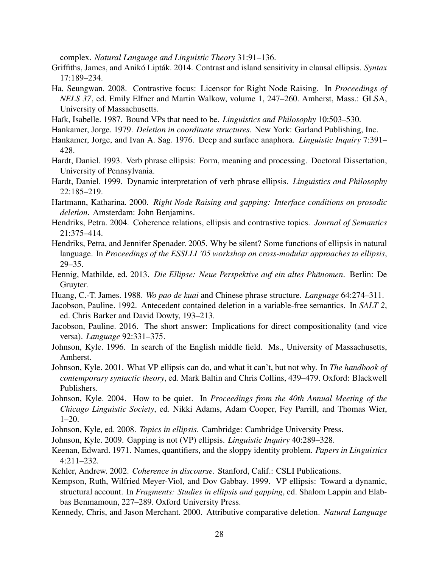complex. *Natural Language and Linguistic Theory* 31:91–136.

- Griffiths, James, and Anikó Lipták. 2014. Contrast and island sensitivity in clausal ellipsis. *Syntax* 17:189–234.
- Ha, Seungwan. 2008. Contrastive focus: Licensor for Right Node Raising. In *Proceedings of NELS 37*, ed. Emily Elfner and Martin Walkow, volume 1, 247–260. Amherst, Mass.: GLSA, University of Massachusetts.
- Haïk, Isabelle. 1987. Bound VPs that need to be. *Linguistics and Philosophy* 10:503–530.
- Hankamer, Jorge. 1979. *Deletion in coordinate structures*. New York: Garland Publishing, Inc.
- Hankamer, Jorge, and Ivan A. Sag. 1976. Deep and surface anaphora. *Linguistic Inquiry* 7:391– 428.
- Hardt, Daniel. 1993. Verb phrase ellipsis: Form, meaning and processing. Doctoral Dissertation, University of Pennsylvania.
- Hardt, Daniel. 1999. Dynamic interpretation of verb phrase ellipsis. *Linguistics and Philosophy* 22:185–219.
- Hartmann, Katharina. 2000. *Right Node Raising and gapping: Interface conditions on prosodic deletion*. Amsterdam: John Benjamins.
- Hendriks, Petra. 2004. Coherence relations, ellipsis and contrastive topics. *Journal of Semantics* 21:375–414.
- Hendriks, Petra, and Jennifer Spenader. 2005. Why be silent? Some functions of ellipsis in natural language. In *Proceedings of the ESSLLI '05 workshop on cross-modular approaches to ellipsis*, 29–35.
- Hennig, Mathilde, ed. 2013. *Die Ellipse: Neue Perspektive auf ein altes Phänomen*. Berlin: De Gruyter.
- Huang, C.-T. James. 1988. *Wo pao de kuai* and Chinese phrase structure. *Language* 64:274–311.
- Jacobson, Pauline. 1992. Antecedent contained deletion in a variable-free semantics. In *SALT 2*, ed. Chris Barker and David Dowty, 193–213.
- Jacobson, Pauline. 2016. The short answer: Implications for direct compositionality (and vice versa). *Language* 92:331–375.
- Johnson, Kyle. 1996. In search of the English middle field. Ms., University of Massachusetts, Amherst.
- Johnson, Kyle. 2001. What VP ellipsis can do, and what it can't, but not why. In *The handbook of contemporary syntactic theory*, ed. Mark Baltin and Chris Collins, 439–479. Oxford: Blackwell Publishers.
- Johnson, Kyle. 2004. How to be quiet. In *Proceedings from the 40th Annual Meeting of the Chicago Linguistic Society*, ed. Nikki Adams, Adam Cooper, Fey Parrill, and Thomas Wier, 1–20.
- Johnson, Kyle, ed. 2008. *Topics in ellipsis*. Cambridge: Cambridge University Press.
- Johnson, Kyle. 2009. Gapping is not (VP) ellipsis. *Linguistic Inquiry* 40:289–328.
- Keenan, Edward. 1971. Names, quantifiers, and the sloppy identity problem. *Papers in Linguistics* 4:211–232.
- Kehler, Andrew. 2002. *Coherence in discourse*. Stanford, Calif.: CSLI Publications.
- Kempson, Ruth, Wilfried Meyer-Viol, and Dov Gabbay. 1999. VP ellipsis: Toward a dynamic, structural account. In *Fragments: Studies in ellipsis and gapping*, ed. Shalom Lappin and Elabbas Benmamoun, 227–289. Oxford University Press.
- Kennedy, Chris, and Jason Merchant. 2000. Attributive comparative deletion. *Natural Language*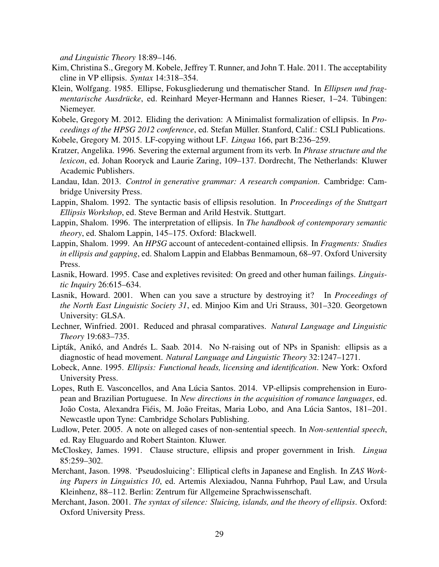*and Linguistic Theory* 18:89–146.

- Kim, Christina S., Gregory M. Kobele, Jeffrey T. Runner, and John T. Hale. 2011. The acceptability cline in VP ellipsis. *Syntax* 14:318–354.
- Klein, Wolfgang. 1985. Ellipse, Fokusgliederung und thematischer Stand. In *Ellipsen und fragmentarische Ausdrücke*, ed. Reinhard Meyer-Hermann and Hannes Rieser, 1–24. Tübingen: Niemeyer.
- Kobele, Gregory M. 2012. Eliding the derivation: A Minimalist formalization of ellipsis. In *Proceedings of the HPSG 2012 conference*, ed. Stefan Müller. Stanford, Calif.: CSLI Publications.
- Kobele, Gregory M. 2015. LF-copying without LF. *Lingua* 166, part B:236–259.
- Kratzer, Angelika. 1996. Severing the external argument from its verb. In *Phrase structure and the lexicon*, ed. Johan Rooryck and Laurie Zaring, 109–137. Dordrecht, The Netherlands: Kluwer Academic Publishers.
- Landau, Idan. 2013. *Control in generative grammar: A research companion*. Cambridge: Cambridge University Press.
- Lappin, Shalom. 1992. The syntactic basis of ellipsis resolution. In *Proceedings of the Stuttgart Ellipsis Workshop*, ed. Steve Berman and Arild Hestvik. Stuttgart.
- Lappin, Shalom. 1996. The interpretation of ellipsis. In *The handbook of contemporary semantic theory*, ed. Shalom Lappin, 145–175. Oxford: Blackwell.
- Lappin, Shalom. 1999. An *HPSG* account of antecedent-contained ellipsis. In *Fragments: Studies in ellipsis and gapping*, ed. Shalom Lappin and Elabbas Benmamoun, 68–97. Oxford University Press.
- Lasnik, Howard. 1995. Case and expletives revisited: On greed and other human failings. *Linguistic Inquiry* 26:615–634.
- Lasnik, Howard. 2001. When can you save a structure by destroying it? In *Proceedings of the North East Linguistic Society 31*, ed. Minjoo Kim and Uri Strauss, 301–320. Georgetown University: GLSA.
- Lechner, Winfried. 2001. Reduced and phrasal comparatives. *Natural Language and Linguistic Theory* 19:683–735.
- Lipták, Anikó, and Andrés L. Saab. 2014. No N-raising out of NPs in Spanish: ellipsis as a diagnostic of head movement. *Natural Language and Linguistic Theory* 32:1247–1271.
- Lobeck, Anne. 1995. *Ellipsis: Functional heads, licensing and identification*. New York: Oxford University Press.
- Lopes, Ruth E. Vasconcellos, and Ana Lúcia Santos. 2014. VP-ellipsis comprehension in European and Brazilian Portuguese. In *New directions in the acquisition of romance languages*, ed. João Costa, Alexandra Fiéis, M. João Freitas, Maria Lobo, and Ana Lúcia Santos, 181–201. Newcastle upon Tyne: Cambridge Scholars Publishing.
- Ludlow, Peter. 2005. A note on alleged cases of non-sentential speech. In *Non-sentential speech*, ed. Ray Eluguardo and Robert Stainton. Kluwer.
- McCloskey, James. 1991. Clause structure, ellipsis and proper government in Irish. *Lingua* 85:259–302.
- Merchant, Jason. 1998. 'Pseudosluicing': Elliptical clefts in Japanese and English. In *ZAS Working Papers in Linguistics 10*, ed. Artemis Alexiadou, Nanna Fuhrhop, Paul Law, and Ursula Kleinhenz, 88–112. Berlin: Zentrum für Allgemeine Sprachwissenschaft.
- Merchant, Jason. 2001. *The syntax of silence: Sluicing, islands, and the theory of ellipsis*. Oxford: Oxford University Press.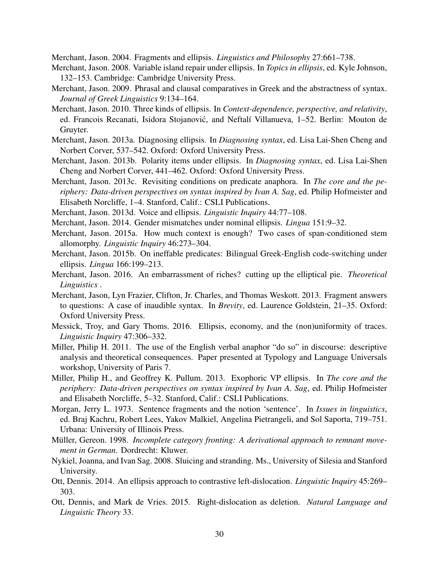Merchant, Jason. 2004. Fragments and ellipsis. *Linguistics and Philosophy* 27:661–738.

- Merchant, Jason. 2008. Variable island repair under ellipsis. In *Topics in ellipsis*, ed. Kyle Johnson, 132–153. Cambridge: Cambridge University Press.
- Merchant, Jason. 2009. Phrasal and clausal comparatives in Greek and the abstractness of syntax. *Journal of Greek Linguistics* 9:134–164.
- Merchant, Jason. 2010. Three kinds of ellipsis. In *Context-dependence, perspective, and relativity*, ed. Francois Recanati, Isidora Stojanovic, and Neftalí Villanueva, 1–52. Berlin: Mouton de ´ Gruyter.
- Merchant, Jason. 2013a. Diagnosing ellipsis. In *Diagnosing syntax*, ed. Lisa Lai-Shen Cheng and Norbert Corver, 537–542. Oxford: Oxford University Press.
- Merchant, Jason. 2013b. Polarity items under ellipsis. In *Diagnosing syntax*, ed. Lisa Lai-Shen Cheng and Norbert Corver, 441–462. Oxford: Oxford University Press.
- Merchant, Jason. 2013c. Revisiting conditions on predicate anaphora. In *The core and the periphery: Data-driven perspectives on syntax inspired by Ivan A. Sag*, ed. Philip Hofmeister and Elisabeth Norcliffe, 1–4. Stanford, Calif.: CSLI Publications.
- Merchant, Jason. 2013d. Voice and ellipsis. *Linguistic Inquiry* 44:77–108.
- Merchant, Jason. 2014. Gender mismatches under nominal ellipsis. *Lingua* 151:9–32.
- Merchant, Jason. 2015a. How much context is enough? Two cases of span-conditioned stem allomorphy. *Linguistic Inquiry* 46:273–304.
- Merchant, Jason. 2015b. On ineffable predicates: Bilingual Greek-English code-switching under ellipsis. *Lingua* 166:199–213.
- Merchant, Jason. 2016. An embarrassment of riches? cutting up the elliptical pie. *Theoretical Linguistics* .
- Merchant, Jason, Lyn Frazier, Clifton, Jr. Charles, and Thomas Weskott. 2013. Fragment answers to questions: A case of inaudible syntax. In *Brevity*, ed. Laurence Goldstein, 21–35. Oxford: Oxford University Press.
- Messick, Troy, and Gary Thoms. 2016. Ellipsis, economy, and the (non)uniformity of traces. *Linguistic Inquiry* 47:306–332.
- Miller, Philip H. 2011. The use of the English verbal anaphor "do so" in discourse: descriptive analysis and theoretical consequences. Paper presented at Typology and Language Universals workshop, University of Paris 7.
- Miller, Philip H., and Geoffrey K. Pullum. 2013. Exophoric VP ellipsis. In *The core and the periphery: Data-driven perspectives on syntax inspired by Ivan A. Sag*, ed. Philip Hofmeister and Elisabeth Norcliffe, 5–32. Stanford, Calif.: CSLI Publications.
- Morgan, Jerry L. 1973. Sentence fragments and the notion 'sentence'. In *Issues in linguistics*, ed. Braj Kachru, Robert Lees, Yakov Malkiel, Angelina Pietrangeli, and Sol Saporta, 719–751. Urbana: University of Illinois Press.
- Müller, Gereon. 1998. *Incomplete category fronting: A derivational approach to remnant movement in German*. Dordrecht: Kluwer.
- Nykiel, Joanna, and Ivan Sag. 2008. Sluicing and stranding. Ms., University of Silesia and Stanford University.
- Ott, Dennis. 2014. An ellipsis approach to contrastive left-dislocation. *Linguistic Inquiry* 45:269– 303.
- Ott, Dennis, and Mark de Vries. 2015. Right-dislocation as deletion. *Natural Language and Linguistic Theory* 33.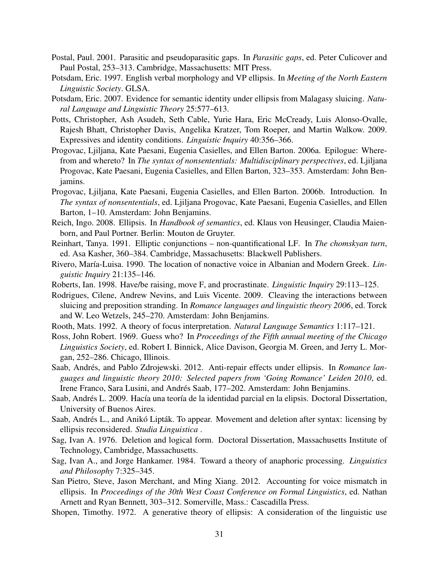- Postal, Paul. 2001. Parasitic and pseudoparasitic gaps. In *Parasitic gaps*, ed. Peter Culicover and Paul Postal, 253–313. Cambridge, Massachusetts: MIT Press.
- Potsdam, Eric. 1997. English verbal morphology and VP ellipsis. In *Meeting of the North Eastern Linguistic Society*. GLSA.
- Potsdam, Eric. 2007. Evidence for semantic identity under ellipsis from Malagasy sluicing. *Natural Language and Linguistic Theory* 25:577–613.
- Potts, Christopher, Ash Asudeh, Seth Cable, Yurie Hara, Eric McCready, Luis Alonso-Ovalle, Rajesh Bhatt, Christopher Davis, Angelika Kratzer, Tom Roeper, and Martin Walkow. 2009. Expressives and identity conditions. *Linguistic Inquiry* 40:356–366.
- Progovac, Ljiljana, Kate Paesani, Eugenia Casielles, and Ellen Barton. 2006a. Epilogue: Wherefrom and whereto? In *The syntax of nonsententials: Multidisciplinary perspectives*, ed. Ljiljana Progovac, Kate Paesani, Eugenia Casielles, and Ellen Barton, 323–353. Amsterdam: John Benjamins.
- Progovac, Ljiljana, Kate Paesani, Eugenia Casielles, and Ellen Barton. 2006b. Introduction. In *The syntax of nonsententials*, ed. Ljiljana Progovac, Kate Paesani, Eugenia Casielles, and Ellen Barton, 1–10. Amsterdam: John Benjamins.
- Reich, Ingo. 2008. Ellipsis. In *Handbook of semantics*, ed. Klaus von Heusinger, Claudia Maienborn, and Paul Portner. Berlin: Mouton de Gruyter.
- Reinhart, Tanya. 1991. Elliptic conjunctions non-quantificational LF. In *The chomskyan turn*, ed. Asa Kasher, 360–384. Cambridge, Massachusetts: Blackwell Publishers.
- Rivero, María-Luisa. 1990. The location of nonactive voice in Albanian and Modern Greek. *Linguistic Inquiry* 21:135–146.
- Roberts, Ian. 1998. Have/be raising, move F, and procrastinate. *Linguistic Inquiry* 29:113–125.
- Rodrigues, Cilene, Andrew Nevins, and Luis Vicente. 2009. Cleaving the interactions between sluicing and preposition stranding. In *Romance languages and linguistic theory 2006*, ed. Torck and W. Leo Wetzels, 245–270. Amsterdam: John Benjamins.
- Rooth, Mats. 1992. A theory of focus interpretation. *Natural Language Semantics* 1:117–121.
- Ross, John Robert. 1969. Guess who? In *Proceedings of the Fifth annual meeting of the Chicago Linguistics Society*, ed. Robert I. Binnick, Alice Davison, Georgia M. Green, and Jerry L. Morgan, 252–286. Chicago, Illinois.
- Saab, Andrés, and Pablo Zdrojewski. 2012. Anti-repair effects under ellipsis. In *Romance languages and linguistic theory 2010: Selected papers from 'Going Romance' Leiden 2010*, ed. Irene Franco, Sara Lusini, and Andrés Saab, 177–202. Amsterdam: John Benjamins.
- Saab, Andrés L. 2009. Hacía una teoría de la identidad parcial en la elipsis. Doctoral Dissertation, University of Buenos Aires.
- Saab, Andrés L., and Anikó Lipták. To appear. Movement and deletion after syntax: licensing by ellipsis reconsidered. *Studia Linguistica* .
- Sag, Ivan A. 1976. Deletion and logical form. Doctoral Dissertation, Massachusetts Institute of Technology, Cambridge, Massachusetts.
- Sag, Ivan A., and Jorge Hankamer. 1984. Toward a theory of anaphoric processing. *Linguistics and Philosophy* 7:325–345.
- San Pietro, Steve, Jason Merchant, and Ming Xiang. 2012. Accounting for voice mismatch in ellipsis. In *Proceedings of the 30th West Coast Conference on Formal Linguistics*, ed. Nathan Arnett and Ryan Bennett, 303–312. Somerville, Mass.: Cascadilla Press.
- Shopen, Timothy. 1972. A generative theory of ellipsis: A consideration of the linguistic use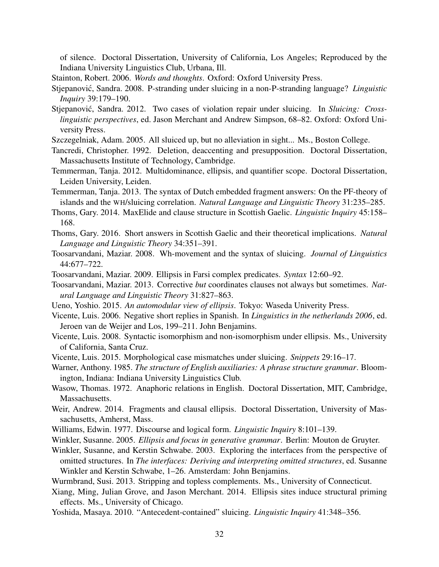of silence. Doctoral Dissertation, University of California, Los Angeles; Reproduced by the Indiana University Linguistics Club, Urbana, Ill.

Stainton, Robert. 2006. *Words and thoughts*. Oxford: Oxford University Press.

- Stjepanović, Sandra. 2008. P-stranding under sluicing in a non-P-stranding language? *Linguistic Inquiry* 39:179–190.
- Stjepanović, Sandra. 2012. Two cases of violation repair under sluicing. In *Sluicing: Crosslinguistic perspectives*, ed. Jason Merchant and Andrew Simpson, 68–82. Oxford: Oxford University Press.
- Szczegelniak, Adam. 2005. All sluiced up, but no alleviation in sight... Ms., Boston College.
- Tancredi, Christopher. 1992. Deletion, deaccenting and presupposition. Doctoral Dissertation, Massachusetts Institute of Technology, Cambridge.
- Temmerman, Tanja. 2012. Multidominance, ellipsis, and quantifier scope. Doctoral Dissertation, Leiden University, Leiden.
- Temmerman, Tanja. 2013. The syntax of Dutch embedded fragment answers: On the PF-theory of islands and the WH/sluicing correlation. *Natural Language and Linguistic Theory* 31:235–285.
- Thoms, Gary. 2014. MaxElide and clause structure in Scottish Gaelic. *Linguistic Inquiry* 45:158– 168.
- Thoms, Gary. 2016. Short answers in Scottish Gaelic and their theoretical implications. *Natural Language and Linguistic Theory* 34:351–391.
- Toosarvandani, Maziar. 2008. Wh-movement and the syntax of sluicing. *Journal of Linguistics* 44:677–722.
- Toosarvandani, Maziar. 2009. Ellipsis in Farsi complex predicates. *Syntax* 12:60–92.
- Toosarvandani, Maziar. 2013. Corrective *but* coordinates clauses not always but sometimes. *Natural Language and Linguistic Theory* 31:827–863.
- Ueno, Yoshio. 2015. *An automodular view of ellipsis*. Tokyo: Waseda Univerity Press.
- Vicente, Luis. 2006. Negative short replies in Spanish. In *Linguistics in the netherlands 2006*, ed. Jeroen van de Weijer and Los, 199–211. John Benjamins.
- Vicente, Luis. 2008. Syntactic isomorphism and non-isomorphism under ellipsis. Ms., University of California, Santa Cruz.
- Vicente, Luis. 2015. Morphological case mismatches under sluicing. *Snippets* 29:16–17.
- Warner, Anthony. 1985. *The structure of English auxiliaries: A phrase structure grammar*. Bloomington, Indiana: Indiana University Linguistics Club.
- Wasow, Thomas. 1972. Anaphoric relations in English. Doctoral Dissertation, MIT, Cambridge, Massachusetts.
- Weir, Andrew. 2014. Fragments and clausal ellipsis. Doctoral Dissertation, University of Massachusetts, Amherst, Mass.
- Williams, Edwin. 1977. Discourse and logical form. *Linguistic Inquiry* 8:101–139.
- Winkler, Susanne. 2005. *Ellipsis and focus in generative grammar*. Berlin: Mouton de Gruyter.
- Winkler, Susanne, and Kerstin Schwabe. 2003. Exploring the interfaces from the perspective of omitted structures. In *The interfaces: Deriving and interpreting omitted structures*, ed. Susanne Winkler and Kerstin Schwabe, 1–26. Amsterdam: John Benjamins.
- Wurmbrand, Susi. 2013. Stripping and topless complements. Ms., University of Connecticut.
- Xiang, Ming, Julian Grove, and Jason Merchant. 2014. Ellipsis sites induce structural priming effects. Ms., University of Chicago.
- Yoshida, Masaya. 2010. "Antecedent-contained" sluicing. *Linguistic Inquiry* 41:348–356.